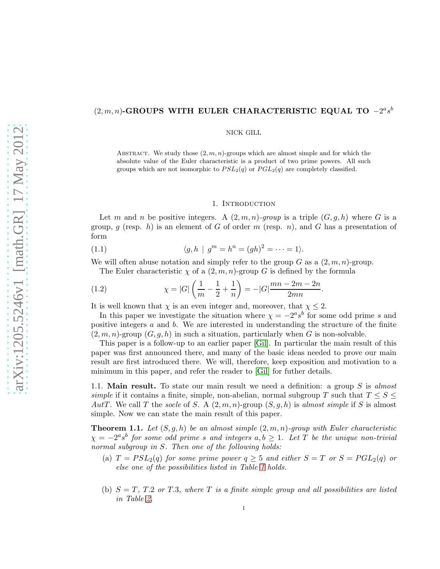# $(2, m, n)$ -GROUPS WITH EULER CHARACTERISTIC EQUAL TO  $-2<sup>a</sup> s<sup>b</sup>$

NICK GILL

ABSTRACT. We study those  $(2, m, n)$ -groups which are almost simple and for which the absolute value of the Euler characteristic is a product of two prime powers. All such groups which are not isomorphic to  $PSL_2(q)$  or  $PGL_2(q)$  are completely classified.

## 1. INTRODUCTION

Let m and n be positive integers. A  $(2, m, n)$ *-group* is a triple  $(G, q, h)$  where G is a group, q (resp. h) is an element of G of order m (resp. n), and G has a presentation of form

(1.1) 
$$
\langle g, h | g^m = h^n = (gh)^2 = \dots = 1 \rangle.
$$

We will often abuse notation and simply refer to the group  $G$  as a  $(2, m, n)$ -group.

The Euler characteristic  $\chi$  of a  $(2, m, n)$ -group G is defined by the formula

(1.2) 
$$
\chi = |G| \left( \frac{1}{m} - \frac{1}{2} + \frac{1}{n} \right) = -|G| \frac{mn - 2m - 2n}{2mn}.
$$

It is well known that  $\chi$  is an even integer and, moreover, that  $\chi \leq 2$ .

In this paper we investigate the situation where  $\chi = -2^a s^b$  for some odd prime s and positive integers  $a$  and  $b$ . We are interested in understanding the structure of the finite  $(2, m, n)$ -group  $(G, g, h)$  in such a situation, particularly when G is non-solvable.

This paper is a follow-up to an earlier paper [\[Gil\]](#page-27-0). In particular the main result of this paper was first announced there, and many of the basic ideas needed to prove our main result are first introduced there. We will, therefore, keep exposition and motivation to a minimum in this paper, and refer the reader to [\[Gil\]](#page-27-0) for futher details.

1.1. Main result. To state our main result we need a definition: a group S is *almost simple* if it contains a finite, simple, non-abelian, normal subgroup T such that  $T \leq S \leq$ AutT. We call T the *socle* of S. A  $(2, m, n)$ -group  $(S, g, h)$  is *almost simple* if S is almost simple. Now we can state the main result of this paper.

<span id="page-0-0"></span>**Theorem 1.1.** Let  $(S, g, h)$  be an almost simple  $(2, m, n)$ -group with Euler characteristic  $\chi = -2^a s^b$  for some odd prime s and integers  $a, b \geq 1$ . Let T be the unique non-trivial *normal subgroup in* S*. Then one of the following holds:*

- (a)  $T = PSL_2(q)$  *for some prime power*  $q \geq 5$  *and either*  $S = T$  *or*  $S = PGL_2(q)$  *or else one of the possibilities listed in Table [1](#page-1-0) holds.*
- (b) S = T*,* T.2 *or* T.3*, where* T *is a finite simple group and all possibilities are listed in Table [2.](#page-1-1)*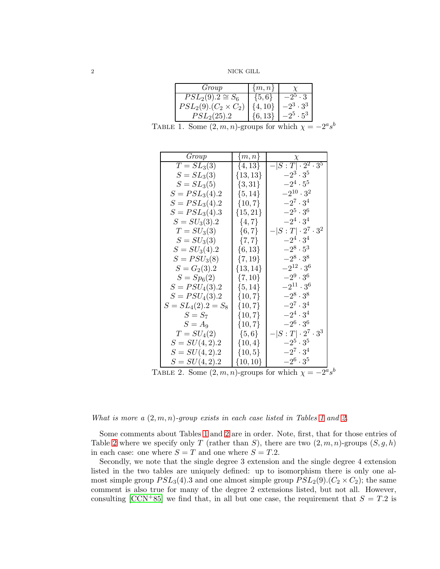2 NICK GILL

| Group                           | $\{m,n\}$  |                        |
|---------------------------------|------------|------------------------|
| $PSL_2(9).2 \cong S_6$          | $\{5,6\}$  |                        |
| $PSL_2(9)$ . $(C_2 \times C_2)$ | $\{4,10\}$ | $-2^3 \cdot 3^3$       |
| $PSL_2(25).2$                   |            | $.95$ . 5 <sup>3</sup> |

TABLE 1. Some  $(2, m, n)$ -groups for which  $\chi = -2^a s^b$ 

<span id="page-1-0"></span>

| Group                 | $\{m,n\}$    | $\chi$                       |
|-----------------------|--------------|------------------------------|
| $T = SL_3(3)$         | $\{4, 13\}$  | $- S:T  \cdot 2^2 \cdot 3^5$ |
| $S = SL_3(3)$         | $\{13, 13\}$ | $-2^3 \cdot 3^5$             |
| $S = SL_3(5)$         | $\{3, 31\}$  | $-2^4 \cdot 5^5$             |
| $S = PSL3(4).2$       | $\{5, 14\}$  | $-2^{10} \cdot 3^2$          |
| $S = PSL3(4).2$       | $\{10, 7\}$  | $-2^7 \cdot 3^4$             |
| $S = PSL3(4).3$       | $\{15, 21\}$ | $-2^5 \cdot 3^6$             |
| $S = SU_3(3).2$       | $\{4, 7\}$   | $-2^4 \cdot 3^4$             |
| $T = SU_3(3)$         | $\{6, 7\}$   | $- S:T  \cdot 2^7 \cdot 3^2$ |
| $S = SU_3(3)$         | $\{7,7\}$    | $-2^4 \cdot 3^4$             |
| $S = SU_3(4).2$       | $\{6, 13\}$  | $-2^8 \cdot 5^3$             |
| $S = PSU_{3}(8)$      | $\{7, 19\}$  | $-2^8 \cdot 3^8$             |
| $S = G_2(3).2$        | $\{13, 14\}$ | $-2^{12} \cdot 3^6$          |
| $S = Sp_6(2)$         | $\{7, 10\}$  | $-2^9 \cdot 3^6$             |
| $S = PSU_{4}(3).2$    | $\{5, 14\}$  | $-2^{11} \cdot 3^6$          |
| $S = PSU_{4}(3).2$    | $\{10, 7\}$  | $-2^8 \cdot 3^8$             |
| $S = SL_4(2).2 = S_8$ | ${10, 7}$    | $-2^7 \cdot 3^4$             |
| $S = S_7$             | $\{10, 7\}$  | $-2^4 \cdot 3^4$             |
| $S=A_9$               | ${10, 7}$    | $-2^6 \cdot 3^6$             |
| $T = SU_4(2)$         | $\{5,6\}$    | $- S:T  \cdot 2^7 \cdot 3^3$ |
| $S = SU(4,2).2$       | $\{10, 4\}$  | $-2^5 \cdot 3^5$             |
| $S = SU(4, 2).2$      | $\{10, 5\}$  | $-2^7 \cdot 3^4$             |
| $S = SU(4,2).2$       | $\{10, 10\}$ | $-2^6 \cdot 3^5$             |

<span id="page-1-1"></span>TABLE 2. Some  $(2, m, n)$ -groups for which  $\chi = -2^a s^b$ 

*What is more a* (2, m, n)*-group exists in each case listed in Tables [1](#page-1-0) and [2.](#page-1-1)*

Some comments about Tables [1](#page-1-0) and [2](#page-1-1) are in order. Note, first, that for those entries of Table [2](#page-1-1) where we specify only T (rather than S), there are two  $(2, m, n)$ -groups  $(S, g, h)$ in each case: one where  $S = T$  and one where  $S = T.2$ .

Secondly, we note that the single degree 3 extension and the single degree 4 extension listed in the two tables are uniquely defined: up to isomorphism there is only one almost simple group  $PSL_3(4)$ .3 and one almost simple group  $PSL_2(9)$ .( $C_2 \times C_2$ ); the same comment is also true for many of the degree 2 extensions listed, but not all. However, consulting  $[CCN+85]$  we find that, in all but one case, the requirement that  $S = T.2$  is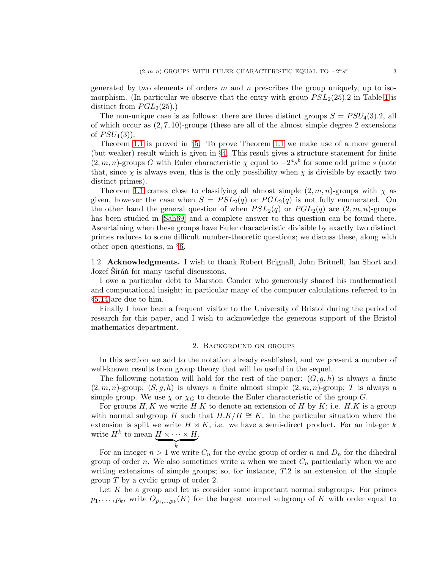generated by two elements of orders  $m$  and  $n$  prescribes the group uniquely, up to isomorphism. (In particular we observe that the entry with group  $PSL_2(25)$ .2 in Table [1](#page-1-0) is distinct from  $PGL<sub>2</sub>(25)$ .)

The non-unique case is as follows: there are three distinct groups  $S = PSU_4(3).2$ , all of which occur as  $(2, 7, 10)$ -groups (these are all of the almost simple degree 2 extensions of  $PSU_4(3)$ ).

Theorem [1.1](#page-0-0) is proved in §[5.](#page-7-0) To prove Theorem [1.1](#page-0-0) we make use of a more general (but weaker) result which is given in §[4.](#page-5-0) This result gives a structure statement for finite  $(2, m, n)$ -groups G with Euler characteristic  $\chi$  equal to  $-2^a s^b$  for some odd prime s (note that, since  $\chi$  is always even, this is the only possibility when  $\chi$  is divisible by exactly two distinct primes).

Theorem [1.1](#page-0-0) comes close to classifying all almost simple  $(2, m, n)$ -groups with  $\chi$  as given, however the case when  $S = PSL_2(q)$  or  $PGL_2(q)$  is not fully enumerated. On the other hand the general question of when  $PSL_2(q)$  or  $PGL_2(q)$  are  $(2, m, n)$ -groups has been studied in [\[Sah69\]](#page-27-1) and a complete answer to this question can be found there. Ascertaining when these groups have Euler characteristic divisible by exactly two distinct primes reduces to some difficult number-theoretic questions; we discuss these, along with other open questions, in §[6.](#page-25-0)

1.2. Acknowledgments. I wish to thank Robert Brignall, John Britnell, Ian Short and Jozef Sirán<sup>n</sup> for many useful discussions.

I owe a particular debt to Marston Conder who generously shared his mathematical and computational insight; in particular many of the computer calculations referred to in §[5.14](#page-23-0) are due to him.

Finally I have been a frequent visitor to the University of Bristol during the period of research for this paper, and I wish to acknowledge the generous support of the Bristol mathematics department.

## 2. Background on groups

In this section we add to the notation already esablished, and we present a number of well-known results from group theory that will be useful in the sequel.

The following notation will hold for the rest of the paper:  $(G, g, h)$  is always a finite  $(2, m, n)$ -group;  $(S, g, h)$  is always a finite almost simple  $(2, m, n)$ -group; T is always a simple group. We use  $\chi$  or  $\chi_G$  to denote the Euler characteristic of the group G.

For groups  $H, K$  we write  $H, K$  to denote an extension of H by K; i.e.  $H, K$  is a group with normal subgroup H such that  $H.K/H \cong K$ . In the particular situation where the extension is split we write  $H \rtimes K$ , i.e. we have a semi-direct product. For an integer k write  $H^k$  to mean  $\underbrace{H \times \cdots \times H}_{k}$ .

For an integer  $n > 1$  we write  $C_n$  for the cyclic group of order n and  $D_n$  for the dihedral group of order n. We also sometimes write n when we meet  $C_n$  particularly when we are writing extensions of simple groups; so, for instance, T.2 is an extension of the simple group  $T$  by a cyclic group of order 2.

Let  $K$  be a group and let us consider some important normal subgroups. For primes  $p_1, \ldots, p_k$ , write  $O_{p_1,\ldots,p_k}(K)$  for the largest normal subgroup of K with order equal to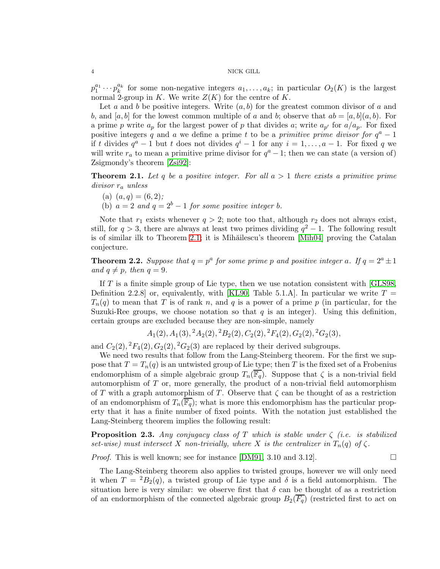$p_1^{a_1}\cdots p_k^{a_k}$  $a_k^{a_k}$  for some non-negative integers  $a_1, \ldots, a_k$ ; in particular  $O_2(K)$  is the largest normal 2-group in K. We write  $Z(K)$  for the centre of K.

Let a and b be positive integers. Write  $(a, b)$  for the greatest common divisor of a and b, and  $[a, b]$  for the lowest common multiple of a and b; observe that  $ab = [a, b](a, b)$ . For a prime p write  $a_p$  for the largest power of p that divides a; write  $a_{p'}$  for  $a/a_p$ . For fixed positive integers q and a we define a prime t to be a *primitive prime divisor for*  $q^a - 1$ if t divides  $q^a - 1$  but t does not divides  $q^i - 1$  for any  $i = 1, ..., a - 1$ . For fixed q we will write  $r_a$  to mean a primitive prime divisor for  $q^a - 1$ ; then we can state (a version of) Zsigmondy's theorem [\[Zsi92\]](#page-27-2):

<span id="page-3-0"></span>Theorem 2.1. *Let* q *be a positive integer. For all* a > 1 *there exists a primitive prime divisor* r<sup>a</sup> *unless*

- (a)  $(a, q) = (6, 2)$ ;
- (b)  $a = 2$  *and*  $q = 2^b 1$  *for some positive integer b.*

Note that  $r_1$  exists whenever  $q > 2$ ; note too that, although  $r_2$  does not always exist, still, for  $q > 3$ , there are always at least two primes dividing  $q^2 - 1$ . The following result is of similar ilk to Theorem [2.1;](#page-3-0) it is Mih $\tilde{a}$ ilescu's theorem [\[Mih04\]](#page-27-3) proving the Catalan conjecture.

<span id="page-3-1"></span>**Theorem 2.2.** Suppose that  $q = p^a$  for some prime p and positive integer a. If  $q = 2^a \pm 1$ *and*  $q \neq p$ *, then*  $q = 9$ *.* 

If  $T$  is a finite simple group of Lie type, then we use notation consistent with [\[GLS98,](#page-27-4) Definition 2.2.8] or, equivalently, with [\[KL90,](#page-27-5) Table 5.1.A]. In particular we write  $T =$  $T_n(q)$  to mean that T is of rank n, and q is a power of a prime p (in particular, for the Suzuki-Ree groups, we choose notation so that  $q$  is an integer). Using this definition, certain groups are excluded because they are non-simple, namely

$$
A_1(2), A_1(3), {}^2A_2(2), {}^2B_2(2), C_2(2), {}^2F_4(2), G_2(2), {}^2G_2(3),
$$

and  $C_2(2)$ ,  ${}^2F_4(2)$ ,  $G_2(2)$ ,  ${}^2G_2(3)$  are replaced by their derived subgroups.

We need two results that follow from the Lang-Steinberg theorem. For the first we suppose that  $T = T_n(q)$  is an untwisted group of Lie type; then T is the fixed set of a Frobenius endomorphism of a simple algebraic group  $T_n(\overline{\mathbb{F}_q})$ . Suppose that  $\zeta$  is a non-trivial field automorphism of T or, more generally, the product of a non-trivial field automorphism of T with a graph automorphism of T. Observe that  $\zeta$  can be thought of as a restriction of an endomorphism of  $T_n(\overline{\mathbb{F}_q})$ ; what is more this endomorphism has the particular property that it has a finite number of fixed points. With the notation just established the Lang-Steinberg theorem implies the following result:

<span id="page-3-2"></span>Proposition 2.3. *Any conjugacy class of* T *which is stable under* ζ *(i.e. is stabilized set-wise)* must intersect X non-trivially, where X is the centralizer in  $T_n(q)$  of  $\zeta$ .

*Proof.* This is well known; see for instance [\[DM91,](#page-26-1) 3.10 and 3.12].  $\Box$ 

The Lang-Steinberg theorem also applies to twisted groups, however we will only need it when  $T = {}^{2}B_{2}(q)$ , a twisted group of Lie type and  $\delta$  is a field automorphism. The situation here is very similar: we observe first that  $\delta$  can be thought of as a restriction of an endormorphism of the connected algebraic group  $B_2(\overline{F_q})$  (restricted first to act on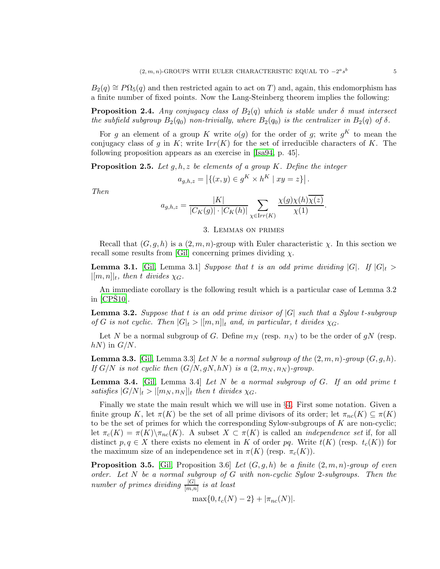$B_2(q) \cong P\Omega_5(q)$  and then restricted again to act on T) and, again, this endomorphism has a finite number of fixed points. Now the Lang-Steinberg theorem implies the following:

<span id="page-4-4"></span>**Proposition 2.4.** *Any conjugacy class of*  $B_2(q)$  *which is stable under*  $\delta$  *must intersect the subfield subgroup*  $B_2(q_0)$  *non-trivially, where*  $B_2(q_0)$  *is the centralizer in*  $B_2(q)$  *of*  $\delta$ *.* 

For g an element of a group K write  $o(g)$  for the order of g; write  $g^K$  to mean the conjugacy class of g in K; write  $Irr(K)$  for the set of irreducible characters of K. The following proposition appears as an exercise in [\[Isa94,](#page-27-6) p. 45].

<span id="page-4-5"></span>Proposition 2.5. *Let* g, h, z *be elements of a group* K*. Define the integer*

$$
a_{g,h,z} = | \{ (x,y) \in g^K \times h^K \mid xy = z \} |.
$$

*Then*

$$
a_{g,h,z} = \frac{|K|}{|C_K(g)| \cdot |C_K(h)|} \sum_{\chi \in \text{Irr}(K)} \frac{\chi(g)\chi(h)\chi(z)}{\chi(1)}.
$$

# 3. Lemmas on primes

Recall that  $(G, g, h)$  is a  $(2, m, n)$ -group with Euler characteristic  $\chi$ . In this section we recall some results from [\[Gil\]](#page-27-0) concerning primes dividing  $\chi$ .

<span id="page-4-0"></span>**Lemma 3.1.** [\[Gil,](#page-27-0) Lemma 3.1] *Suppose that* t *is an odd prime dividing*  $|G|$ *. If*  $|G|$ <sub>t</sub> >  $|[m,n]|_t$ , then t divides  $\chi_G$ .

An immediate corollary is the following result which is a particular case of Lemma 3.2 in  $[CPS10]$ .

<span id="page-4-3"></span>Lemma 3.2. *Suppose that* t *is an odd prime divisor of* |G| *such that a Sylow* t*-subgroup of* G is not cyclic. Then  $|G|_t > |[m,n]|_t$  and, in particular, t divides  $\chi_G$ .

Let N be a normal subgroup of G. Define  $m_N$  (resp.  $n_N$ ) to be the order of gN (resp.  $hN$ ) in  $G/N$ .

**Lemma 3.3.** [\[Gil,](#page-27-0) Lemma 3.3] *Let* N *be a normal subgroup of the*  $(2, m, n)$ *-group*  $(G, g, h)$ *. If*  $G/N$  *is not cyclic then*  $(G/N, gN, hN)$  *is a*  $(2, m_N, n_N)$ *-group.* 

<span id="page-4-1"></span>Lemma 3.4. [\[Gil,](#page-27-0) Lemma 3.4] *Let* N *be a normal subgroup of* G*. If an odd prime* t satisfies  $|G/N|_t > |[m_N, n_N]|_t$  then t divides  $\chi_G$ .

Finally we state the main result which we will use in §[4.](#page-5-0) First some notation. Given a finite group K, let  $\pi(K)$  be the set of all prime divisors of its order; let  $\pi_{nc}(K) \subseteq \pi(K)$ to be the set of primes for which the corresponding Sylow-subgroups of  $K$  are non-cyclic; let  $\pi_c(K) = \pi(K) \setminus \pi_{nc}(K)$ . A subset  $X \subset \pi(K)$  is called an *independence set* if, for all distinct  $p, q \in X$  there exists no element in K of order pq. Write  $t(K)$  (resp.  $t_c(K)$ ) for the maximum size of an independence set in  $\pi(K)$  (resp.  $\pi_c(K)$ ).

<span id="page-4-2"></span>**Proposition 3.5.** [\[Gil,](#page-27-0) Proposition 3.6] *Let*  $(G, g, h)$  *be a finite*  $(2, m, n)$ *-group of even order. Let* N *be a normal subgroup of* G *with non-cyclic Sylow* 2*-subgroups. Then the*  $number\ of\ primes\ dividing\ \frac{|G|}{[m,n]} \ is\ at\ least$ 

 $\max\{0, t_c(N) - 2\} + |\pi_{nc}(N)|$ .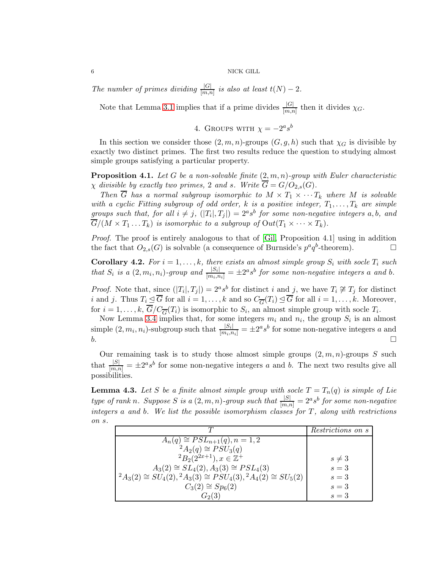*The number of primes dividing*  $\frac{|G|}{[m,n]}$  *is also at least*  $t(N) - 2$ *.* 

<span id="page-5-0"></span>Note that Lemma [3.1](#page-4-0) implies that if a prime divides  $\frac{|G|}{[m,n]}$  then it divides  $\chi_G$ .

4. GROUPS WITH  $\chi = -2^a s^b$ 

In this section we consider those  $(2, m, n)$ -groups  $(G, g, h)$  such that  $\chi_G$  is divisible by exactly two distinct primes. The first two results reduce the question to studying almost simple groups satisfying a particular property.

<span id="page-5-2"></span>Proposition 4.1. *Let* G *be a non-solvable finite* (2, m, n)*-group with Euler characteristic*  $\chi$  *divisible by exactly two primes,* 2 *and s. Write*  $\overline{G} = G/O_{2,s}(G)$ *.* 

*Then*  $\overline{G}$  *has a normal subgroup isomorphic to*  $M \times T_1 \times \cdots T_k$  *where*  $M$  *is solvable with a cyclic Fitting subgroup of odd order,*  $k$  *is a positive integer,*  $T_1, \ldots, T_k$  *are simple groups such that, for all*  $i \neq j$ ,  $(|T_i|, T_j|) = 2^a s^b$  *for some non-negative integers* a, b, and  $\overline{G}/(M \times T_1 \ldots T_k)$  is isomorphic to a subgroup of  $Out(T_1 \times \cdots \times T_k)$ .

*Proof.* The proof is entirely analogous to that of [\[Gil,](#page-27-0) Proposition 4.1] using in addition the fact that  $O_{2,s}(G)$  is solvable (a consequence of Burnside's  $p^a q^b$ -theorem).

**Corollary 4.2.** For  $i = 1, ..., k$ , there exists an almost simple group  $S_i$  with socle  $T_i$  such *that*  $S_i$  *is a*  $(2, m_i, n_i)$ *-group and*  $\frac{|S_i|}{|m_i, n_i|} = \pm 2^a s^b$  *for some non-negative integers a and b*.

*Proof.* Note that, since  $(|T_i|, T_j|) = 2^a s^b$  for distinct i and j, we have  $T_i \not\cong T_j$  for distinct *i* and *j*. Thus  $T_i \leq \overline{G}$  for all  $i = 1, ..., k$  and so  $C_{\overline{G}}(T_i) \leq \overline{G}$  for all  $i = 1, ..., k$ . Moreover, for  $i = 1, ..., k$ ,  $G/C_{\overline{G}}(T_i)$  is isomorphic to  $S_i$ , an almost simple group with socle  $T_i$ .

Now Lemma [3.4](#page-4-1) implies that, for some integers  $m_i$  and  $n_i$ , the group  $S_i$  is an almost simple  $(2, m_i, n_i)$ -subgroup such that  $\frac{|S_i|}{|m_i, n_i|} = \pm 2^a s^b$  for some non-negative integers a and  $b.$ 

Our remaining task is to study those almost simple groups  $(2, m, n)$ -groups S such that  $\frac{|S|}{[m,n]} = \pm 2^a s^b$  for some non-negative integers a and b. The next two results give all possibilities.

<span id="page-5-1"></span>**Lemma 4.3.** Let S be a finite almost simple group with socle  $T = T_n(q)$  is simple of Lie *type of rank n*. Suppose *S is* a  $(2, m, n)$ *-group such that*  $\frac{|S|}{[m,n]} = 2^a s^b$  *for some non-negative integers* a *and* b*. We list the possible isomorphism classes for* T*, along with restrictions on* s*.*

|                                                                                 | <i>Restrictions on s</i> |
|---------------------------------------------------------------------------------|--------------------------|
| $A_n(q) \cong PSL_{n+1}(q), n = 1, 2$                                           |                          |
| ${}^2A_2(q) \cong PSU_3(q)$                                                     |                          |
| ${}^{2}B_{2}(2^{2x+1}), x \in \mathbb{Z}^{+}$                                   | $s \neq 3$               |
| $A_3(2) \cong SL_4(2), A_3(3) \cong PSL_4(3)$                                   | $s=3$                    |
| ${}^2A_3(2) \cong SU_4(2), {}^2A_3(3) \cong PSU_4(3), {}^2A_4(2) \cong SU_5(2)$ | $s=3$                    |
| $C_3(2) \cong Sp_6(2)$                                                          | $s=3$                    |
| $G_{2}(3)$                                                                      | $s=3$                    |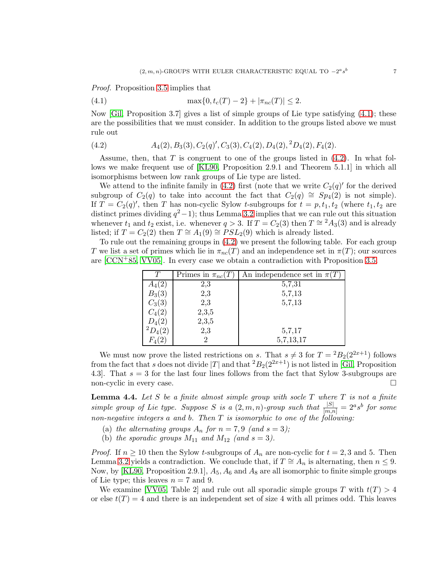*Proof.* Proposition [3.5](#page-4-2) implies that

<span id="page-6-0"></span>(4.1) 
$$
\max\{0, t_c(T) - 2\} + |\pi_{nc}(T)| \le 2.
$$

Now [\[Gil,](#page-27-0) Proposition 3.7] gives a list of simple groups of Lie type satisfying [\(4.1\)](#page-6-0); these are the possibilities that we must consider. In addition to the groups listed above we must rule out

<span id="page-6-1"></span>
$$
(4.2) \qquad A_4(2), B_3(3), C_2(q)', C_3(3), C_4(2), D_4(2), {}^2D_4(2), F_4(2).
$$

Assume, then, that  $T$  is congruent to one of the groups listed in  $(4.2)$ . In what follows we make frequent use of [\[KL90,](#page-27-5) Proposition 2.9.1 and Theorem 5.1.1] in which all isomorphisms between low rank groups of Lie type are listed.

We attend to the infinite family in  $(4.2)$  first (note that we write  $C_2(q)'$  for the derived subgroup of  $C_2(q)$  to take into account the fact that  $C_2(q) \cong Sp_4(2)$  is not simple). If  $T = C_2(q)$ , then T has non-cyclic Sylow t-subgroups for  $t = p, t_1, t_2$  (where  $t_1, t_2$  are distinct primes dividing  $q^2-1$ ); thus Lemma [3.2](#page-4-3) implies that we can rule out this situation whenever  $t_1$  and  $t_2$  exist, i.e. whenever  $q > 3$ . If  $T = C_2(3)$  then  $T \approx 2A_3(3)$  and is already listed; if  $T = C_2(2)$  then  $T \cong A_1(9) \cong PSL_2(9)$  which is already listed.

To rule out the remaining groups in [\(4.2\)](#page-6-1) we present the following table. For each group T we list a set of primes which lie in  $\pi_{nc}(T)$  and an independence set in  $\pi(T)$ ; our sources are  $[CCN+85, VV05]$  $[CCN+85, VV05]$ . In every case we obtain a contradiction with Proposition [3.5.](#page-4-2)

|            | Primes in $\pi_{nc}(T)$ | An independence set in $\pi(T)$ |
|------------|-------------------------|---------------------------------|
| $A_4(2)$   | $^{2,3}$                | 5,7,31                          |
| $B_3(3)$   | 2,3                     | 5,7,13                          |
| $C_3(3)$   | 2,3                     | 5,7,13                          |
| $C_4(2)$   | 2,3,5                   |                                 |
| $D_4(2)$   | 2,3,5                   |                                 |
| $P_{4}(2)$ | 2,3                     | 5,7,17                          |
|            |                         | 5,7,13,17                       |

We must now prove the listed restrictions on s. That  $s \neq 3$  for  $T = {}^2B_2(2^{2x+1})$  follows from the fact that s does not divide |T| and that  ${}^2B_2(2^{2x+1})$  is not listed in [\[Gil,](#page-27-0) Proposition 4.3. That  $s = 3$  for the last four lines follows from the fact that Sylow 3-subgroups are non-cyclic in every case.

<span id="page-6-2"></span>Lemma 4.4. *Let* S *be a finite almost simple group with socle* T *where* T *is not a finite* simple group of Lie type. Suppose S is a  $(2, m, n)$ -group such that  $\frac{|S|}{[m,n]} = 2^a s^b$  for some *non-negative integers* a *and* b*. Then* T *is isomorphic to one of the following:*

- (a) the alternating groups  $A_n$  for  $n = 7, 9$  (and  $s = 3$ );
- (b) *the sporadic groups*  $M_{11}$  *and*  $M_{12}$  *(and s = 3).*

*Proof.* If  $n \geq 10$  then the Sylow t-subgroups of  $A_n$  are non-cyclic for  $t = 2, 3$  and 5. Then Lemma [3.2](#page-4-3) yields a contradiction. We conclude that, if  $T \cong A_n$  is alternating, then  $n \leq 9$ . Now, by [\[KL90,](#page-27-5) Proposition 2.9.1],  $A_5$ ,  $A_6$  and  $A_8$  are all isomorphic to finite simple groups of Lie type; this leaves  $n = 7$  and 9.

We examine [\[VV05,](#page-27-7) Table 2] and rule out all sporadic simple groups T with  $t(T) > 4$ or else  $t(T) = 4$  and there is an independent set of size 4 with all primes odd. This leaves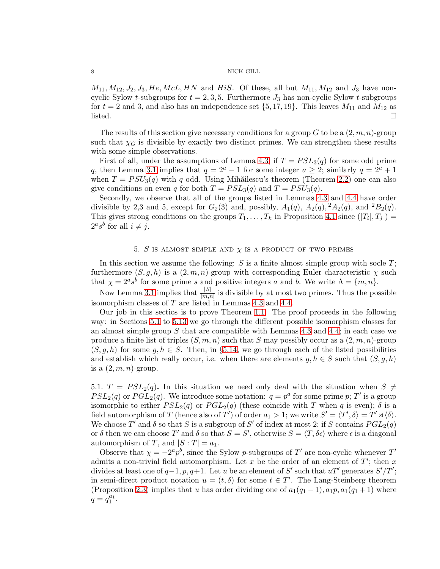$M_{11}, M_{12}, J_2, J_3, He, McL, HN$  and HiS. Of these, all but  $M_{11}, M_{12}$  and  $J_3$  have noncyclic Sylow *t*-subgroups for  $t = 2, 3, 5$ . Furthermore  $J_3$  has non-cyclic Sylow *t*-subgroups for  $t = 2$  and 3, and also has an independence set  $\{5, 17, 19\}$ . This leaves  $M_{11}$  and  $M_{12}$  as listed.  $\Box$ 

The results of this section give necessary conditions for a group G to be a  $(2, m, n)$ -group such that  $\chi_G$  is divisible by exactly two distinct primes. We can strengthen these results with some simple observations.

First of all, under the assumptions of Lemma [4.3,](#page-5-1) if  $T = PSL<sub>3</sub>(q)$  for some odd prime q, then Lemma [3.1](#page-4-0) implies that  $q = 2^a - 1$  for some integer  $a \geq 2$ ; similarly  $q = 2^a + 1$ when  $T = PSU_3(q)$  with q odd. Using Mihăilescu's theorem (Theorem [2.2\)](#page-3-1) one can also give conditions on even q for both  $T = PSL<sub>3</sub>(q)$  and  $T = PSU<sub>3</sub>(q)$ .

Secondly, we observe that all of the groups listed in Lemmas [4.3](#page-5-1) and [4.4](#page-6-2) have order divisible by 2,3 and 5, except for  $G_2(3)$  and, possibly,  $A_1(q)$ ,  $A_2(q)$ ,  $A_2(q)$ , and  ${}^2B_2(q)$ . This gives strong conditions on the groups  $T_1, \ldots, T_k$  in Proposition [4.1](#page-5-2) since  $(|T_i|, T_j|)$  =  $2^a s^b$  for all  $i \neq j$ .

# 5. S IS ALMOST SIMPLE AND  $\chi$  IS A PRODUCT OF TWO PRIMES

<span id="page-7-0"></span>In this section we assume the following:  $S$  is a finite almost simple group with socle  $T$ ; furthermore  $(S, q, h)$  is a  $(2, m, n)$ -group with corresponding Euler characteristic  $\chi$  such that  $\chi = 2^a s^b$  for some prime s and positive integers a and b. We write  $\Lambda = \{m, n\}.$ 

Now Lemma [3.1](#page-4-0) implies that  $\frac{|S|}{[m,n]}$  is divisible by at most two primes. Thus the possible isomorphism classes of T are listed in Lemmas [4.3](#page-5-1) and [4.4.](#page-6-2)

Our job in this sectios is to prove Theorem [1.1.](#page-0-0) The proof proceeds in the following way: in Sections [5.1](#page-7-1) to [5.13](#page-23-1) we go through the different possible isomorphism classes for an almost simple group  $S$  that are compatible with Lemmas [4.3](#page-5-1) and [4.4;](#page-6-2) in each case we produce a finite list of triples  $(S, m, n)$  such that S may possibly occur as a  $(2, m, n)$ -group  $(S, g, h)$  for some  $g, h \in S$ . Then, in §[5.14,](#page-23-0) we go through each of the listed possibilities and establish which really occur, i.e. when there are elements  $g, h \in S$  such that  $(S, g, h)$ is a  $(2, m, n)$ -group.

<span id="page-7-1"></span>5.1.  $T = PSL<sub>2</sub>(q)$ . In this situation we need only deal with the situation when  $S \neq$  $PSL_2(q)$  or  $PGL_2(q)$ . We introduce some notation:  $q = p^a$  for some prime p; T' is a group isomorphic to either  $PSL_2(q)$  or  $PGL_2(q)$  (these coincide with T when q is even);  $\delta$  is a field automorphism of T (hence also of T<sup>'</sup>) of order  $a_1 > 1$ ; we write  $S' = \langle T', \delta \rangle = T' \rtimes \langle \delta \rangle$ . We choose  $T'$  and  $\delta$  so that S is a subgroup of S' of index at most 2; if S contains  $PGL_2(q)$ or  $\delta$  then we can choose T' and  $\delta$  so that  $S = S'$ , otherwise  $S = \langle T, \delta \epsilon \rangle$  where  $\epsilon$  is a diagonal automorphism of T, and  $|S : T| = a_1$ .

Observe that  $\chi = -2^a p^b$ , since the Sylow p-subgroups of T' are non-cyclic whenever T' admits a non-trivial field automorphism. Let x be the order of an element of  $T'$ ; then x divides at least one of  $q-1$ ,  $p$ ,  $q+1$ . Let u be an element of S' such that  $uT'$  generates  $S'/T'$ ; in semi-direct product notation  $u = (t, \delta)$  for some  $t \in T'$ . The Lang-Steinberg theorem (Proposition [2.3\)](#page-3-2) implies that u has order dividing one of  $a_1(q_1 - 1)$ ,  $a_1p$ ,  $a_1(q_1 + 1)$  where  $q = q_1^{a_1}.$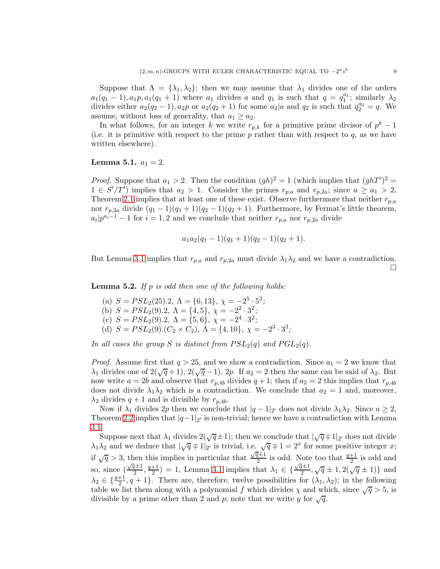Suppose that  $\Lambda = {\lambda_1, \lambda_2}$ ; then we may assume that  $\lambda_1$  divides one of the orders  $a_1(q_1-1), a_1p, a_1(q_1+1)$  where  $a_1$  divides a and  $q_1$  is such that  $q = q_1^{a_1}$ ; similarly  $\lambda_2$ divides either  $a_2(q_2 - 1)$ ,  $a_2p$  or  $a_2(q_2 + 1)$  for some  $a_2|a$  and  $q_2$  is such that  $q_2^{a_2} = q$ . We assume, without loss of generality, that  $a_1 \ge a_2$ .

In what follows, for an integer k we write  $r_{p,k}$  for a primitive prime divisor of  $p^k-1$ (i.e. it is primitive with respect to the prime  $p$  rather than with respect to  $q$ , as we have written elsewhere).

# **Lemma 5.1.**  $a_1 = 2$ .

*Proof.* Suppose that  $a_1 > 2$ . Then the condition  $(gh)^2 = 1$  (which implies that  $(ghT')^2 =$  $1 \in S'/T'$  implies that  $a_2 > 1$ . Consider the primes  $r_{p,a}$  and  $r_{p,2a}$ ; since  $a \ge a_1 > 2$ , Theorem [2.1](#page-3-0) implies that at least one of these exist. Observe furthermore that neither  $r_{p,a}$ nor  $r_{p,2a}$  divide  $(q_1-1)(q_1+1)(q_2-1)(q_2+1)$ . Furthermore, by Fermat's little theorem,  $a_i|p^{a_i-1}-1$  for  $i=1,2$  and we conclude that neither  $r_{p,a}$  nor  $r_{p,2a}$  divide

$$
a_1a_2(q_1-1)(q_1+1)(q_2-1)(q_2+1).
$$

But Lemma [3.1](#page-4-0) implies that  $r_{p,a}$  and  $r_{p,2a}$  must divide  $\lambda_1\lambda_2$  and we have a contradiction.  $\Box$ 

Lemma 5.2. *If* p *is odd then one of the following holds:*

(a)  $S = PSL<sub>2</sub>(25) \cdot 2$ ,  $\Lambda = \{6, 13\}$ ,  $\chi = -2^5 \cdot 5^3$ ; (b)  $S = PSL<sub>2</sub>(9).2, \Lambda = \{4, 5\}, \chi = -2<sup>2</sup> \cdot 3<sup>2</sup>;$ (c)  $S = PSL<sub>2</sub>(9).2, \Lambda = \{5, 6\}, \chi = -2<sup>4</sup> \cdot 3<sup>2</sup>;$ (d)  $S = PSL_2(9) \cdot (C_2 \times C_2), \ \Lambda = \{4, 10\}, \ \chi = -2^3 \cdot 3^3;$ 

*In all cases the group S is distinct from*  $PSL_2(q)$  *and*  $PGL_2(q)$ *.* 

*Proof.* Assume first that  $q > 25$ , and we show a contradiction. Since  $a_1 = 2$  we know that  $\lambda_1$  divides one of  $2(\sqrt{q}+1)$ ,  $2(\sqrt{q}-1)$ , 2p. If  $a_2=2$  then the same can be said of  $\lambda_2$ . But now write  $a = 2b$  and observe that  $r_{p,4b}$  divides  $q + 1$ ; then if  $a_2 = 2$  this implies that  $r_{p,4b}$ does not divide  $\lambda_1 \lambda_2$  which is a contradiction. We conclude that  $a_2 = 1$  and, moreover,  $\lambda_2$  divides  $q+1$  and is divisible by  $r_{p,4b}$ .

Now if  $\lambda_1$  divides 2p then we conclude that  $|q-1|_{2'}$  does not divide  $\lambda_1\lambda_2$ . Since  $a \geq 2$ , Theorem [2.2](#page-3-1) implies that  $|q-1|_{2'}$  is non-trivial; hence we have a contradiction with Lemma [3.1.](#page-4-0)

Suppose next that  $\lambda_1$  divides  $2(\sqrt{q} \pm 1)$ ; then we conclude that  $|\sqrt{q} \mp 1|_{2'}$  does not divide  $\lambda_1\lambda_2$  and we deduce that  $|\sqrt{q} \mp 1|_2$  is trivial, i.e.  $\sqrt{q} \mp 1 = 2^x$  for some positive integer x; if  $\sqrt{q} > 3$ , then this implies in particular that  $\frac{\sqrt{q} \pm 1}{2}$  is odd. Note too that  $\frac{q+1}{2}$  is odd and so, since  $\left(\frac{\sqrt{q}\pm 1}{2}, \frac{q+1}{2}\right)$  $\frac{1}{2}$  = 1, Lemma [3.1](#page-4-0) implies that  $\lambda_1 \in \{\frac{\sqrt{q} \pm 1}{2}, \sqrt{q} \pm 1, 2(\sqrt{q} \pm 1)\}\$  and  $\lambda_2 \in \{\frac{q+1}{2}, q+1\}$ . There are, therefore, twelve possibilities for  $(\lambda_1, \lambda_2)$ ; in the following table we list them along with a polynomial f which divides  $\chi$  and which, since  $\sqrt{q} > 5$ , is divisible by a prime other than 2 and p; note that we write y for  $\sqrt{q}$ .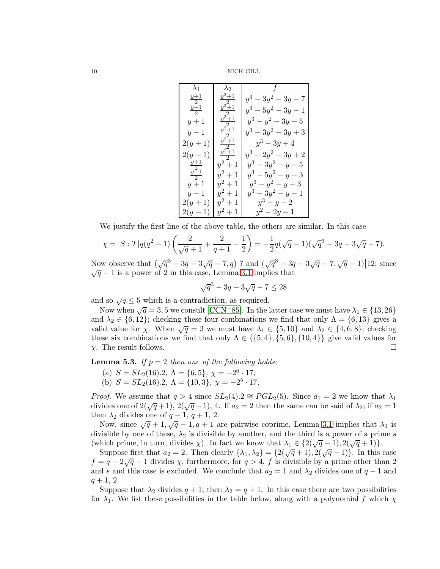| $\lambda_1$                        | $\lambda_2$           |                       |
|------------------------------------|-----------------------|-----------------------|
| $\frac{y+1}{2}$<br>$\frac{y-1}{2}$ | $y^2+1$               | $y^3 - 3y^2 - 3y - 7$ |
|                                    | $y^2+1$               | $y^3 - 5y^2 - 3y - 1$ |
| $y+1$                              | $y^2+1$               | $y^3 - y^2 - 3y - 5$  |
| $y-1$                              | $\frac{1}{y^2+1}$     | $y^3 - 3y^2 - 3y + 3$ |
| $2(y+1)$                           | $\frac{y^2+1}{y^2+1}$ | $y^3 - 3y + 4$        |
| $2(y-1)$                           |                       | $y^3 - 2y^2 - 3y + 2$ |
| $rac{y+1}{2}$<br>$rac{y-1}{2}$     | $y^2+1$               | $y^3 - 3y^2 - y - 5$  |
|                                    | $y^2+1$               | $y^3 - 5y^2 - y - 3$  |
| $y+1$                              | $y^2 + 1$             | $y^3 - y^2 - y - 3$   |
| $y-1$                              | $y^2+1$               | $y^3 - 3y^2 - y - 1$  |
| $2(y+1)$                           | $y^2 + 1$             | $y^3-y-2$             |
| $2(y-1)$                           | $y^2 + 1$             | $y^2-2y-1$            |

We justify the first line of the above table, the others are similar. In this case

$$
\chi = |S:T|q(q^2 - 1)\left(\frac{2}{\sqrt{q} + 1} + \frac{2}{q + 1} - \frac{1}{2}\right) = -\frac{1}{2}q(\sqrt{q} - 1)(\sqrt{q}^3 - 3q - 3\sqrt{q} - 7).
$$

Now observe that  $(\sqrt{q^3} - 3q - 3\sqrt{q} - 7, q) | 7 \text{ and } (\sqrt{q^3} - 3q - 3\sqrt{q} - 7, \sqrt{q} - 1) | 12$ ; since  $\sqrt{q}$  − 1 is a power of 2 in this case, Lemma [3.1](#page-4-0) implies that

$$
\sqrt{q}^3 - 3q - 3\sqrt{q} - 7 \le 28
$$

and so  $\sqrt{q} \leq 5$  which is a contradiction, as required.

Now when  $\sqrt{q} = 3, 5$  we consult [\[CCN](#page-26-0)+85]. In the latter case we must have  $\lambda_1 \in \{13, 26\}$ and  $\lambda_2 \in \{6, 12\}$ ; checking these four combinations we find that only  $\Lambda = \{6, 13\}$  gives a valid value for  $\chi$ . When  $\sqrt{q} = 3$  we must have  $\lambda_1 \in \{5, 10\}$  and  $\lambda_2 \in \{4, 6, 8\}$ ; checking these six combinations we find that only  $\Lambda \in \{\{5, 4\}, \{5, 6\}, \{10, 4\}\}\$  give valid values for  $\chi$ . The result follows.  $\chi$ . The result follows.

**Lemma 5.3.** *If*  $p = 2$  *then one of the following holds:* 

- (a)  $S = SL_2(16).2, \Lambda = \{6, 5\}, \chi = -2^6 \cdot 17;$
- (b)  $S = SL_2(16).2, \ \Lambda = \{10, 3\}, \ \chi = -2^5 \cdot 17;$

*Proof.* We assume that  $q > 4$  since  $SL_2(4) \text{.} 2 \cong PGL_2(5)$ . Since  $a_1 = 2$  we know that  $\lambda_1$ divides one of  $2(\sqrt{q}+1), 2(\sqrt{q}-1), 4$ . If  $a_2 = 2$  then the same can be said of  $\lambda_2$ ; if  $a_2 = 1$ then  $\lambda_2$  divides one of  $q-1$ ,  $q+1$ , 2.

Now, since  $\sqrt{q} + 1, \sqrt{q} - 1, q + 1$  are pairwise coprime, Lemma [3.1](#page-4-0) implies that  $\lambda_1$  is divisible by one of these,  $\lambda_2$  is divisible by another, and the third is a power of a prime s (which prime, in turn, divides  $\chi$ ). In fact we know that  $\lambda_1 \in \{2(\sqrt{q}-1), 2(\sqrt{q}+1)\}.$ 

Suppose first that  $a_2 = 2$ . Then clearly  $\{\lambda_1, \lambda_2\} = \{2(\sqrt{q}+1), 2(\sqrt{q}-1)\}\)$ . In this case  $f = q - 2\sqrt{q} - 1$  divides  $\chi$ ; furthermore, for  $q > 4$ , f is divisible by a prime other than 2 and s and this case is excluded. We conclude that  $a_2 = 1$  and  $\lambda_2$  divides one of  $q - 1$  and  $q + 1, 2$ 

Suppose that  $\lambda_2$  divides  $q + 1$ ; then  $\lambda_2 = q + 1$ . In this case there are two possibilities for  $\lambda_1$ . We list these possibilities in the table below, along with a polynomial f which  $\chi$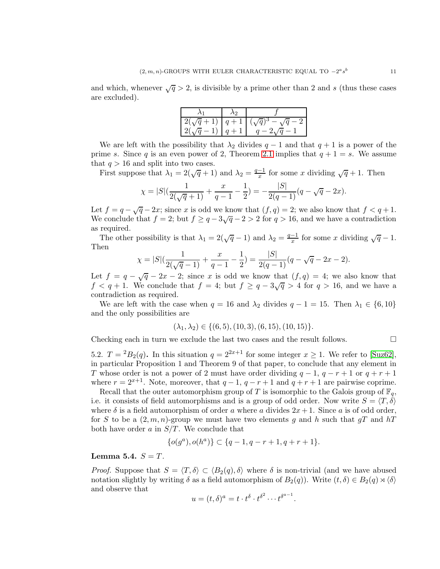and which, whenever  $\sqrt{q} > 2$ , is divisible by a prime other than 2 and s (thus these cases are excluded).

| $\left  \frac{2(\sqrt{q}+1)}{q+1} \right $ |       | $(\sqrt{q})^3$ .<br>$\sqrt{q}$ |
|--------------------------------------------|-------|--------------------------------|
| $2(\sqrt{q}-1)$                            | $q+1$ |                                |

We are left with the possibility that  $\lambda_2$  divides  $q-1$  and that  $q+1$  is a power of the prime s. Since q is an even power of 2, Theorem [2.1](#page-3-0) implies that  $q + 1 = s$ . We assume that  $q > 16$  and split into two cases.

First suppose that  $\lambda_1 = 2(\sqrt{q} + 1)$  and  $\lambda_2 = \frac{q-1}{x}$  for some x dividing  $\sqrt{q} + 1$ . Then

$$
\chi = |S| \left( \frac{1}{2(\sqrt{q}+1)} + \frac{x}{q-1} - \frac{1}{2} \right) = -\frac{|S|}{2(q-1)} (q - \sqrt{q} - 2x).
$$

Let  $f = q - \sqrt{q} - 2x$ ; since x is odd we know that  $(f, q) = 2$ ; we also know that  $f < q + 1$ . We conclude that  $f = 2$ ; but  $f \ge q - 3\sqrt{q} - 2 > 2$  for  $q > 16$ , and we have a contradiction as required.

The other possibility is that  $\lambda_1 = 2(\sqrt{q}-1)$  and  $\lambda_2 = \frac{q-1}{x}$  for some x dividing  $\sqrt{q}-1$ . Then

$$
\chi = |S| \left( \frac{1}{2(\sqrt{q}-1)} + \frac{x}{q-1} - \frac{1}{2} \right) = \frac{|S|}{2(q-1)} (q - \sqrt{q} - 2x - 2).
$$

Let  $f = q - \sqrt{q} - 2x - 2$ ; since x is odd we know that  $(f, q) = 4$ ; we also know that  $f < q + 1$ . We conclude that  $f = 4$ ; but  $f \ge q - 3\sqrt{q} > 4$  for  $q > 16$ , and we have a contradiction as required.

We are left with the case when  $q = 16$  and  $\lambda_2$  divides  $q - 1 = 15$ . Then  $\lambda_1 \in \{6, 10\}$ and the only possibilities are

$$
(\lambda_1, \lambda_2) \in \{(6, 5), (10, 3), (6, 15), (10, 15)\}.
$$

Checking each in turn we exclude the last two cases and the result follows.  $\Box$ 

5.2.  $T = {}^2B_2(q)$ . In this situation  $q = 2^{2x+1}$  for some integer  $x \ge 1$ . We refer to [\[Suz62\]](#page-27-8), in particular Proposition 1 and Theorem 9 of that paper, to conclude that any element in T whose order is not a power of 2 must have order dividing  $q-1$ ,  $q-r+1$  or  $q+r+1$ where  $r = 2^{x+1}$ . Note, moreover, that  $q-1$ ,  $q-r+1$  and  $q+r+1$  are pairwise coprime.

Recall that the outer automorphism group of T is isomorphic to the Galois group of  $\mathbb{F}_q$ , i.e. it consists of field automorphisms and is a group of odd order. Now write  $S = \langle T, \delta \rangle$ where  $\delta$  is a field automorphism of order a where a divides  $2x+1$ . Since a is of odd order, for S to be a  $(2, m, n)$ -group we must have two elements g and h such that  $qT$  and hT both have order a in  $S/T$ . We conclude that

$$
\{o(g^a), o(h^a)\} \subset \{q-1, q-r+1, q+r+1\}.
$$

Lemma 5.4.  $S = T$ .

*Proof.* Suppose that  $S = \langle T, \delta \rangle \subset \langle B_2(q), \delta \rangle$  where  $\delta$  is non-trivial (and we have abused notation slightly by writing  $\delta$  as a field automorphism of  $B_2(q)$ ). Write  $(t, \delta) \in B_2(q) \rtimes \langle \delta \rangle$ and observe that

$$
u = (t, \delta)^a = t \cdot t^{\delta} \cdot t^{\delta^2} \cdots t^{\delta^{a-1}}.
$$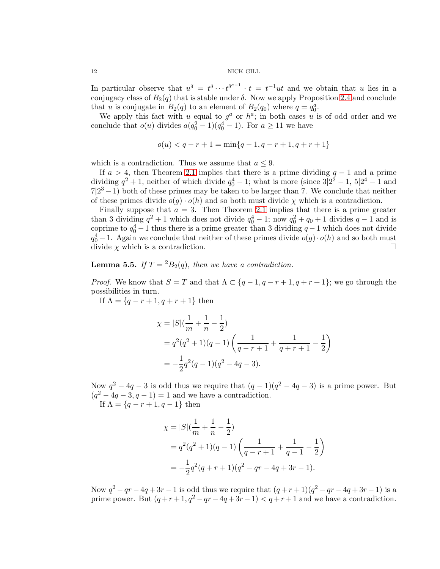In particular observe that  $u^{\delta} = t^{\delta} \cdots t^{\delta^{a-1}} \cdot t = t^{-1}ut$  and we obtain that u lies in a conjugacy class of  $B_2(q)$  that is stable under  $\delta$ . Now we apply Proposition [2.4](#page-4-4) and conclude that u is conjugate in  $B_2(q)$  to an element of  $B_2(q_0)$  where  $q = q_0^a$ .

We apply this fact with u equal to  $g^a$  or  $h^a$ ; in both cases u is of odd order and we conclude that  $o(u)$  divides  $a(q_0^2 - 1)(q_0^4 - 1)$ . For  $a \ge 11$  we have

$$
o(u) < q - r + 1 = \min\{q - 1, q - r + 1, q + r + 1\}
$$

which is a contradiction. Thus we assume that  $a \leq 9$ .

If  $a > 4$ , then Theorem [2.1](#page-3-0) implies that there is a prime dividing  $q - 1$  and a prime dividing  $q^2 + 1$ , neither of which divide  $q_0^4 - 1$ ; what is more (since  $3\vert 2^2 - 1$ ,  $5\vert 2^4 - 1$  and  $7|2^3-1|$  both of these primes may be taken to be larger than 7. We conclude that neither of these primes divide  $o(g) \cdot o(h)$  and so both must divide  $\chi$  which is a contradiction.

Finally suppose that  $a = 3$ . Then Theorem [2.1](#page-3-0) implies that there is a prime greater than 3 dividing  $q^2 + 1$  which does not divide  $q_0^4 - 1$ ; now  $q_0^2 + q_0 + 1$  divides  $q - 1$  and is coprime to  $q_0^4 - 1$  thus there is a prime greater than 3 dividing  $q - 1$  which does not divide  $q_0^4 - 1$ . Again we conclude that neither of these primes divide  $o(g) \cdot o(h)$  and so both must divide  $\chi$  which is a contradiction.

# **Lemma 5.5.** *If*  $T = {}^2B_2(q)$ *, then we have a contradiction.*

*Proof.* We know that  $S = T$  and that  $\Lambda \subset \{q-1, q-r+1, q+r+1\}$ ; we go through the possibilities in turn.

If  $\Lambda = \{q - r + 1, q + r + 1\}$  then

$$
\chi = |S|(\frac{1}{m} + \frac{1}{n} - \frac{1}{2})
$$
  
=  $q^2(q^2 + 1)(q - 1)(\frac{1}{q - r + 1} + \frac{1}{q + r + 1} - \frac{1}{2})$   
=  $-\frac{1}{2}q^2(q - 1)(q^2 - 4q - 3).$ 

Now  $q^2 - 4q - 3$  is odd thus we require that  $(q - 1)(q^2 - 4q - 3)$  is a prime power. But  $(q^2-4q-3, q-1)=1$  and we have a contradiction. If  $\Lambda = \{q - r + 1, q - 1\}$  then

$$
\chi = |S|(\frac{1}{m} + \frac{1}{n} - \frac{1}{2})
$$
  
=  $q^2(q^2 + 1)(q - 1)(\frac{1}{q - r + 1} + \frac{1}{q - 1} - \frac{1}{2})$   
=  $-\frac{1}{2}q^2(q + r + 1)(q^2 - qr - 4q + 3r - 1).$ 

Now  $q^2 - qr - 4q + 3r - 1$  is odd thus we require that  $(q + r + 1)(q^2 - qr - 4q + 3r - 1)$  is a prime power. But  $(q + r + 1, q^2 - qr - 4q + 3r - 1) < q + r + 1$  and we have a contradiction.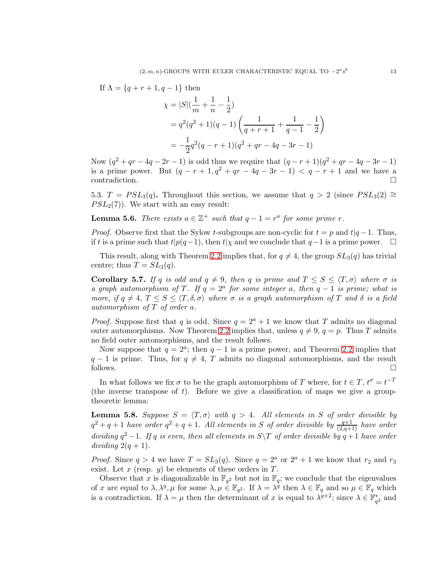If  $\Lambda = \{q + r + 1, q - 1\}$  then

$$
\chi = |S|(\frac{1}{m} + \frac{1}{n} - \frac{1}{2})
$$
  
=  $q^2(q^2 + 1)(q - 1)(\frac{1}{q + r + 1} + \frac{1}{q - 1} - \frac{1}{2})$   
=  $-\frac{1}{2}q^2(q - r + 1)(q^2 + qr - 4q - 3r - 1)$ 

Now  $(q^2 + qr - 4q - 2r - 1)$  is odd thus we require that  $(q - r + 1)(q^2 + qr - 4q - 3r - 1)$ is a prime power. But  $(q - r + 1, q^2 + qr - 4q - 3r - 1) < q - r + 1$  and we have a contradiction.

5.3.  $T = PSL<sub>3</sub>(q)$ . Throughout this section, we assume that  $q > 2$  (since  $PSL<sub>3</sub>(2)$  ≃  $PSL<sub>2</sub>(7)$ ). We start with an easy result:

**Lemma 5.6.** *There exists*  $a \in \mathbb{Z}^+$  *such that*  $q - 1 = r^a$  *for some prime r.* 

*Proof.* Observe first that the Sylow t-subgroups are non-cyclic for  $t = p$  and  $t|q-1$ . Thus, if t is a prime such that  $t|p(q-1)$ , then  $t|\chi$  and we conclude that  $q-1$  is a prime power.  $\Box$ 

This result, along with Theorem [2.2](#page-3-1) implies that, for  $q \neq 4$ , the group  $SL_3(q)$  has trivial centre; thus  $T = SL_3(q)$ .

**Corollary 5.7.** *If* q *is odd and*  $q \neq 9$ *, then* q *is prime and*  $T \leq S \leq \langle T, \sigma \rangle$  *where*  $\sigma$  *is a graph automorphism of*  $T$ *. If*  $q = 2^a$  *for some integer* a*, then*  $q - 1$  *is prime; what is more, if*  $q \neq 4$ ,  $T \leq S \leq \langle T, \delta, \sigma \rangle$  *where*  $\sigma$  *is a graph automorphism of* T *and*  $\delta$  *is a field automorphism of* T *of order* a*.*

*Proof.* Suppose first that q is odd. Since  $q = 2^a + 1$  we know that T admits no diagonal outer automorphisms. Now Theorem [2.2](#page-3-1) implies that, unless  $q \neq 9$ ,  $q = p$ . Thus T admits no field outer automorphisms, and the result follows.

Now suppose that  $q = 2^a$ ; then  $q - 1$  is a prime power, and Theorem [2.2](#page-3-1) implies that  $q - 1$  is prime. Thus, for  $q \neq 4$ , T admits no diagonal automorphisms, and the result follows. follows.  $\Box$ 

In what follows we fix  $\sigma$  to be the graph automorphism of T where, for  $t \in T$ ,  $t^{\sigma} = t^{-T}$ (the inverse transpose of  $t$ ). Before we give a classification of maps we give a grouptheoretic lemma:

<span id="page-12-0"></span>**Lemma 5.8.** *Suppose*  $S = \langle T, \sigma \rangle$  *with*  $q > 4$ *. All elements in* S *of order divisible by*  $q^2 + q + 1$  *have order*  $q^2 + q + 1$ . All elements in S of order divisible by  $\frac{q+1}{(2,q+1)}$  *have order dividing*  $q^2 - 1$ *. If* q *is even, then all elements in*  $S \ T$  *of order divisible by*  $q + 1$  *have order dividing*  $2(q + 1)$ *.* 

*Proof.* Since  $q > 4$  we have  $T = SL_3(q)$ . Since  $q = 2^a$  or  $2^a + 1$  we know that  $r_2$  and  $r_3$ exist. Let x (resp. y) be elements of these orders in  $T$ .

Observe that x is diagonalizable in  $\mathbb{F}_{q^2}$  but not in  $\mathbb{F}_q$ ; we conclude that the eigenvalues of x are equal to  $\lambda$ ,  $\lambda^q$ ,  $\mu$  for some  $\lambda$ ,  $\mu \in \mathbb{F}_{q^2}$ . If  $\lambda = \lambda^q$  then  $\lambda \in \mathbb{F}_q$  and so  $\mu \in \mathbb{F}_q$  which is a contradiction. If  $\lambda = \mu$  then the determinant of x is equal to  $\lambda^{q+2}$ ; since  $\lambda \in \mathbb{F}_{q^2}^*$  and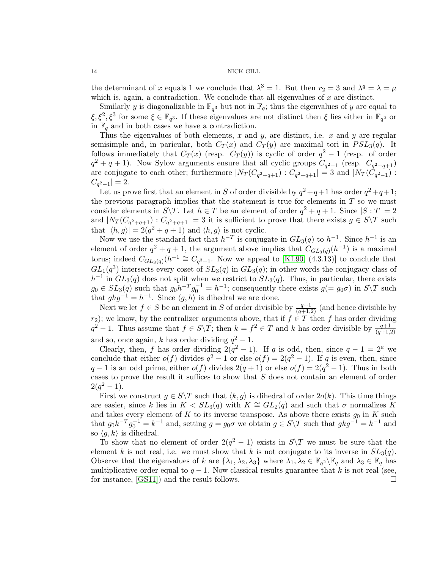the determinant of x equals 1 we conclude that  $\lambda^3 = 1$ . But then  $r_2 = 3$  and  $\lambda^q = \lambda = \mu$ which is, again, a contradiction. We conclude that all eigenvalues of  $x$  are distinct.

Similarly y is diagonalizable in  $\mathbb{F}_{q^3}$  but not in  $\mathbb{F}_q$ ; thus the eigenvalues of y are equal to  $\xi, \xi^2, \xi^3$  for some  $\xi \in \mathbb{F}_{q^3}$ . If these eigenvalues are not distinct then  $\xi$  lies either in  $\mathbb{F}_{q^2}$  or in  $\mathbb{F}_q$  and in both cases we have a contradiction.

Thus the eigenvalues of both elements, x and y, are distinct, i.e. x and y are regular semisimple and, in paricular, both  $C_T(x)$  and  $C_T(y)$  are maximal tori in  $PSL_3(q)$ . It follows immediately that  $C_T(x)$  (resp.  $C_T(y)$ ) is cyclic of order  $q^2-1$  (resp. of order  $q^2 + q + 1$ ). Now Sylow arguments ensure that all cyclic groups  $C_{q^2-1}$  (resp.  $C_{q^2+q+1}$ ) are conjugate to each other; furthermore  $|N_T(C_{q^2+q+1}) : C_{q^2+q+1}| = 3$  and  $|N_T(C_{q^2-1}) :$  $C_{q^2-1}|=2.$ 

Let us prove first that an element in S of order divisible by  $q^2+q+1$  has order  $q^2+q+1$ ; the previous paragraph implies that the statement is true for elements in  $T$  so we must consider elements in  $S \backslash T$ . Let  $h \in T$  be an element of order  $q^2 + q + 1$ . Since  $|S : T| = 2$ and  $|N_T(C_{q^2+q+1}) : C_{q^2+q+1}| = 3$  it is sufficient to prove that there exists  $g \in S \backslash T$  such that  $|\langle h, g \rangle| = 2(q^2 + q + 1)$  and  $\langle h, g \rangle$  is not cyclic.

Now we use the standard fact that  $h^{-T}$  is conjugate in  $GL_3(q)$  to  $h^{-1}$ . Since  $h^{-1}$  is an element of order  $q^2 + q + 1$ , the argument above implies that  $C_{GL_3(q)}(h^{-1})$  is a maximal torus; indeed  $C_{GL_3(q)}(h^{-1} \cong C_{q^3-1}$ . Now we appeal to [\[KL90,](#page-27-5) (4.3.13)] to conclude that  $GL_1(q^3)$  intersects every coset of  $SL_3(q)$  in  $GL_3(q)$ ; in other words the conjugacy class of  $h^{-1}$  in  $GL_3(q)$  does not split when we restrict to  $SL_3(q)$ . Thus, in particular, there exists  $g_0 \in SL_3(q)$  such that  $g_0 h^{-T} g_0^{-1} = h^{-1}$ ; consequently there exists  $g(=g_0\sigma)$  in  $S \backslash T$  such that  $ghg^{-1} = h^{-1}$ . Since  $\langle g, h \rangle$  is dihedral we are done.

Next we let  $f \in S$  be an element in S of order divisible by  $\frac{q+1}{(q+1,2)}$  (and hence divisible by r<sub>2</sub>); we know, by the centralizer arguments above, that if  $f \in T$  then f has order dividing  $q^2-1$ . Thus assume that  $f \in S \backslash T$ ; then  $k = f^2 \in T$  and k has order divisible by  $\frac{q+1}{(q+1,2)}$ and so, once again, k has order dividing  $q^2 - 1$ .

Clearly, then, f has order dividing  $2(q^2 - 1)$ . If q is odd, then, since  $q - 1 = 2^a$  we conclude that either  $o(f)$  divides  $q^2 - 1$  or else  $o(f) = 2(q^2 - 1)$ . If q is even, then, since  $q-1$  is an odd prime, either  $o(f)$  divides  $2(q+1)$  or else  $o(f) = 2(q^2 - 1)$ . Thus in both cases to prove the result it suffices to show that S does not contain an element of order  $2(q^2-1).$ 

First we construct  $g \in S \backslash T$  such that  $\langle k, g \rangle$  is dihedral of order  $2o(k)$ . This time things are easier, since k lies in  $K < SL_3(q)$  with  $K \cong GL_2(q)$  and such that  $\sigma$  normalizes K and takes every element of K to its inverse transpose. As above there exists  $g_0$  in K such that  $g_0 k^{-T} g_0^{-1} = k^{-1}$  and, setting  $g = g_0 \sigma$  we obtain  $g \in S \backslash T$  such that  $g k g^{-1} = k^{-1}$  and so  $\langle q, k \rangle$  is dihedral.

To show that no element of order  $2(q^2 - 1)$  exists in  $S \setminus T$  we must be sure that the element k is not real, i.e. we must show that k is not conjugate to its inverse in  $SL_3(q)$ . Observe that the eigenvalues of k are  $\{\lambda_1, \lambda_2, \lambda_3\}$  where  $\lambda_1, \lambda_2 \in \mathbb{F}_{q^2} \backslash \mathbb{F}_q$  and  $\lambda_3 \in \mathbb{F}_q$  has multiplicative order equal to  $q-1$ . Now classical results guarantee that k is not real (see, for instance, [\[GS11\]](#page-27-9)) and the result follows.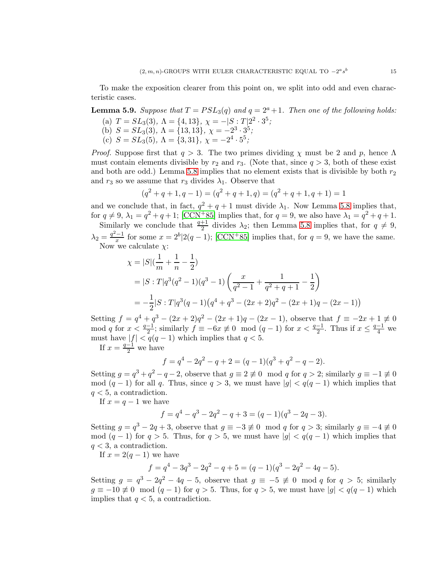To make the exposition clearer from this point on, we split into odd and even characteristic cases.

**Lemma 5.9.** *Suppose that*  $T = PSL<sub>3</sub>(q)$  *and*  $q = 2<sup>a</sup> + 1$ *. Then one of the following holds:* 

- (a)  $T = SL_3(3)$ ,  $\Lambda = \{4, 13\}$ ,  $\chi = -|S : T|2^2 \cdot 3^5$ ;
- (b)  $S = SL_3(3), \Lambda = \{13, 13\}, \chi = -2^3 \cdot 3^5;$
- (c)  $S = SL_3(5)$ ,  $\Lambda = \{3, 31\}$ ,  $\chi = -2^4 \cdot 5^5$ ;

*Proof.* Suppose first that  $q > 3$ . The two primes dividing  $\chi$  must be 2 and p, hence  $\Lambda$ must contain elements divisible by  $r_2$  and  $r_3$ . (Note that, since  $q > 3$ , both of these exist and both are odd.) Lemma [5.8](#page-12-0) implies that no element exists that is divisible by both  $r_2$ and  $r_3$  so we assume that  $r_3$  divides  $\lambda_1$ . Observe that

$$
(q2 + q + 1, q - 1) = (q2 + q + 1, q) = (q2 + q + 1, q + 1) = 1
$$

and we conclude that, in fact,  $q^2 + q + 1$  must divide  $\lambda_1$ . Now Lemma [5.8](#page-12-0) implies that, for  $q \neq 9$ ,  $\lambda_1 = q^2 + q + 1$ ; [\[CCN](#page-26-0)+85] implies that, for  $q = 9$ , we also have  $\lambda_1 = q^2 + q + 1$ .

Similarly we conclude that  $\frac{q+1}{2}$  divides  $\lambda_2$ ; then Lemma [5.8](#page-12-0) implies that, for  $q \neq 9$ ,  $\lambda_2 = \frac{q^2-1}{x}$  for some  $x = 2^b \mid 2(q-1)$ ; [\[CCN](#page-26-0)<sup>+</sup>85] implies that, for  $q = 9$ , we have the same. Now we calculate  $\chi$ :

$$
\chi = |S|(\frac{1}{m} + \frac{1}{n} - \frac{1}{2})
$$
  
=  $|S : T|q^3(q^2 - 1)(q^3 - 1)(\frac{x}{q^2 - 1} + \frac{1}{q^2 + q + 1} - \frac{1}{2})$   
=  $-\frac{1}{2}|S : T|q^3(q - 1)(q^4 + q^3 - (2x + 2)q^2 - (2x + 1)q - (2x - 1))|$ 

Setting  $f = q^4 + q^3 - (2x+2)q^2 - (2x+1)q - (2x-1)$ , observe that  $f \equiv -2x+1 \neq 0$ mod q for  $x < \frac{q-1}{2}$ ; similarly  $f \equiv -6x \not\equiv 0 \mod (q-1)$  for  $x < \frac{q-1}{2}$ . Thus if  $x \leq \frac{q-1}{4}$  we must have  $|f| < q(q-1)$  which implies that  $q < 5$ .

If  $x = \frac{q-1}{2}$  we have

$$
f = q4 - 2q2 - q + 2 = (q - 1)(q3 + q2 - q - 2).
$$

Setting  $g = q^3 + q^2 - q - 2$ , observe that  $g \equiv 2 \not\equiv 0 \mod q$  for  $q > 2$ ; similarly  $g \equiv -1 \not\equiv 0$ mod  $(q-1)$  for all q. Thus, since  $q > 3$ , we must have  $|q| < q(q-1)$  which implies that  $q < 5$ , a contradiction.

If  $x = q - 1$  we have

$$
f = q4 - q3 - 2q2 - q + 3 = (q - 1)(q3 - 2q - 3).
$$

Setting  $g = q^3 - 2q + 3$ , observe that  $g \equiv -3 \not\equiv 0 \mod q$  for  $q > 3$ ; similarly  $g \equiv -4 \not\equiv 0$ mod  $(q - 1)$  for  $q > 5$ . Thus, for  $q > 5$ , we must have  $|g| < q(q - 1)$  which implies that  $q < 3$ , a contradiction.

If  $x = 2(q - 1)$  we have

$$
f = q4 - 3q3 - 2q2 - q + 5 = (q - 1)(q3 - 2q2 - 4q - 5).
$$

Setting  $g = q^3 - 2q^2 - 4q - 5$ , observe that  $g \equiv -5 \not\equiv 0 \mod q$  for  $q > 5$ ; similarly  $g \equiv -10 \not\equiv 0 \mod (q-1)$  for  $q > 5$ . Thus, for  $q > 5$ , we must have  $|g| < q(q-1)$  which implies that  $q < 5$ , a contradiction.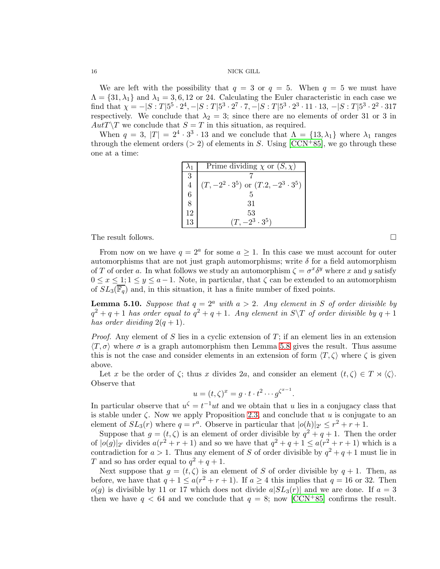We are left with the possibility that  $q = 3$  or  $q = 5$ . When  $q = 5$  we must have  $\Lambda = \{31, \lambda_1\}$  and  $\lambda_1 = 3, 6, 12$  or 24. Calculating the Euler characteristic in each case we find that  $\chi = -|S:T|5^5 \cdot 2^4, -|S:T|5^3 \cdot 2^7 \cdot 7, -|S:T|5^3 \cdot 2^3 \cdot 11 \cdot 13, -|S:T|5^3 \cdot 2^2 \cdot 317$ respectively. We conclude that  $\lambda_2 = 3$ ; since there are no elements of order 31 or 3 in  $Aut T\Y$  we conclude that  $S=T$  in this situation, as required.

When  $q = 3$ ,  $|T| = 2^4 \cdot 3^3 \cdot 13$  and we conclude that  $\Lambda = \{13, \lambda_1\}$  where  $\lambda_1$  ranges through the element orders ( $> 2$ ) of elements in S. Using [\[CCN](#page-26-0)+85], we go through these one at a time:

|                | Prime dividing $\chi$ or $(S, \chi)$             |
|----------------|--------------------------------------------------|
| 3              |                                                  |
| $\overline{4}$ | $(T, -2^2 \cdot 3^5)$ or $(T.2, -2^3 \cdot 3^5)$ |
| 6              |                                                  |
| 8              | 31                                               |
| 12             | 53                                               |
| 13             | $(T, -2^3 \cdot 3^5)$                            |

The result follows.

From now on we have  $q = 2^a$  for some  $a \ge 1$ . In this case we must account for outer automorphisms that are not just graph automorphisms; write  $\delta$  for a field automorphism of T of order a. In what follows we study an automorphism  $\zeta = \sigma^x \delta^y$  where x and y satisfy  $0 \leq x \leq 1; 1 \leq y \leq a-1$ . Note, in particular, that  $\zeta$  can be extended to an automorphism of  $SL_3(\overline{\mathbb{F}_q})$  and, in this situation, it has a finite number of fixed points.

<span id="page-15-0"></span>**Lemma 5.10.** Suppose that  $q = 2^a$  with  $a > 2$ . Any element in S of order divisible by  $q^2 + q + 1$  *has order equal to*  $q^2 + q + 1$ *. Any element in*  $S \ T$  *of order divisible by*  $q + 1$ *has order dividing*  $2(q + 1)$ *.* 

*Proof.* Any element of S lies in a cyclic extension of T; if an element lies in an extension  $\langle T, \sigma \rangle$  where  $\sigma$  is a graph automorphism then Lemma [5.8](#page-12-0) gives the result. Thus assume this is not the case and consider elements in an extension of form  $\langle T, \zeta \rangle$  where  $\zeta$  is given above.

Let x be the order of  $\zeta$ ; thus x divides 2a, and consider an element  $(t, \zeta) \in T \rtimes \langle \zeta \rangle$ . Observe that

$$
u = (t, \zeta)^x = g \cdot t \cdot t^2 \cdots g^{\zeta^{x-1}}.
$$

In particular observe that  $u^{\zeta} = t^{-1}ut$  and we obtain that u lies in a conjugacy class that is stable under  $\zeta$ . Now we apply Proposition [2.3,](#page-3-2) and conclude that u is conjugate to an element of  $SL_3(r)$  where  $q = r^a$ . Observe in particular that  $|o(h)|_{2'} \leq r^2 + r + 1$ .

Suppose that  $g = (t, \zeta)$  is an element of order divisible by  $q^2 + q + 1$ . Then the order of  $|o(g)|_{2'}$  divides  $a(r^2+r+1)$  and so we have that  $q^2+q+1 \le a(r^2+r+1)$  which is a contradiction for  $a > 1$ . Thus any element of S of order divisible by  $q^2 + q + 1$  must lie in T and so has order equal to  $q^2 + q + 1$ .

Next suppose that  $g = (t, \zeta)$  is an element of S of order divisible by  $q + 1$ . Then, as before, we have that  $q + 1 \le a(r^2 + r + 1)$ . If  $a \ge 4$  this implies that  $q = 16$  or 32. Then  $o(g)$  is divisible by 11 or 17 which does not divide  $a|SL_3(r)|$  and we are done. If  $a=3$ then we have  $q < 64$  and we conclude that  $q = 8$ ; now [\[CCN](#page-26-0)+85] confirms the result.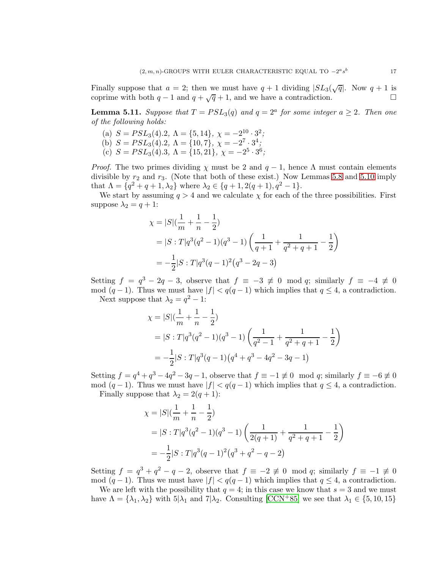Finally suppose that  $a = 2$ ; then we must have  $q + 1$  dividing  $|SL_3(\sqrt{q})$ . Now  $q + 1$  is coprime with both  $q-1$  and  $q+\sqrt{q}+1$ , and we have a contradiction.

**Lemma 5.11.** Suppose that  $T = PSL_3(q)$  and  $q = 2^a$  for some integer  $a \geq 2$ . Then one *of the following holds:*

- (a)  $S = PSL<sub>3</sub>(4).2, \Lambda = \{5, 14\}, \chi = -2<sup>10</sup> \cdot 3<sup>2</sup>;$
- (b)  $S = PSL<sub>3</sub>(4).2, \Lambda = \{10, 7\}, \chi = -2^7 \cdot 3^4;$
- (c)  $S = PSL_3(4).3, \Lambda = \{15, 21\}, \chi = -2^5 \cdot 3^6;$

*Proof.* The two primes dividing  $\chi$  must be 2 and  $q - 1$ , hence  $\Lambda$  must contain elements divisible by  $r_2$  and  $r_3$ . (Note that both of these exist.) Now Lemmas [5.8](#page-12-0) and [5.10](#page-15-0) imply that  $\Lambda = \{q^2 + q + 1, \lambda_2\}$  where  $\lambda_2 \in \{q + 1, 2(q + 1), q^2 - 1\}.$ 

We start by assuming  $q > 4$  and we calculate  $\chi$  for each of the three possibilities. First suppose  $\lambda_2 = q + 1$ :

$$
\chi = |S|(\frac{1}{m} + \frac{1}{n} - \frac{1}{2})
$$
  
=  $|S : T|q^3(q^2 - 1)(q^3 - 1)(\frac{1}{q+1} + \frac{1}{q^2+q+1} - \frac{1}{2})$   
=  $-\frac{1}{2}|S : T|q^3(q-1)^2(q^3 - 2q - 3)$ 

Setting  $f = q^3 - 2q - 3$ , observe that  $f \equiv -3 \not\equiv 0 \mod q$ ; similarly  $f \equiv -4 \not\equiv 0$ mod  $(q-1)$ . Thus we must have  $|f| < q(q-1)$  which implies that  $q \leq 4$ , a contradiction.

Next suppose that  $\lambda_2 = q^2 - 1$ :

$$
\chi = |S|(\frac{1}{m} + \frac{1}{n} - \frac{1}{2})
$$
  
=  $|S : T|q^3(q^2 - 1)(q^3 - 1)(\frac{1}{q^2 - 1} + \frac{1}{q^2 + q + 1} - \frac{1}{2})$   
=  $-\frac{1}{2}|S : T|q^3(q - 1)(q^4 + q^3 - 4q^2 - 3q - 1)$ 

Setting  $f = q^4 + q^3 - 4q^2 - 3q - 1$ , observe that  $f \equiv -1 \not\equiv 0 \mod q$ ; similarly  $f \equiv -6 \not\equiv 0$ mod  $(q-1)$ . Thus we must have  $|f| < q(q-1)$  which implies that  $q \leq 4$ , a contradiction.

Finally suppose that  $\lambda_2 = 2(q+1)$ :

$$
\chi = |S|(\frac{1}{m} + \frac{1}{n} - \frac{1}{2})
$$
  
=  $|S : T|q^3(q^2 - 1)(q^3 - 1)(\frac{1}{2(q+1)} + \frac{1}{q^2 + q + 1} - \frac{1}{2})$   
=  $-\frac{1}{2}|S : T|q^3(q-1)^2(q^3 + q^2 - q - 2)$ 

Setting  $f = q^3 + q^2 - q - 2$ , observe that  $f \equiv -2 \not\equiv 0 \mod q$ ; similarly  $f \equiv -1 \not\equiv 0$ mod  $(q-1)$ . Thus we must have  $|f| < q(q-1)$  which implies that  $q \leq 4$ , a contradiction.

We are left with the possibility that  $q = 4$ ; in this case we know that  $s = 3$  and we must have  $\Lambda = {\lambda_1, \lambda_2}$  with  $5|\lambda_1$  and  $7|\lambda_2$ . Consulting [\[CCN](#page-26-0)+85] we see that  $\lambda_1 \in \{5, 10, 15\}$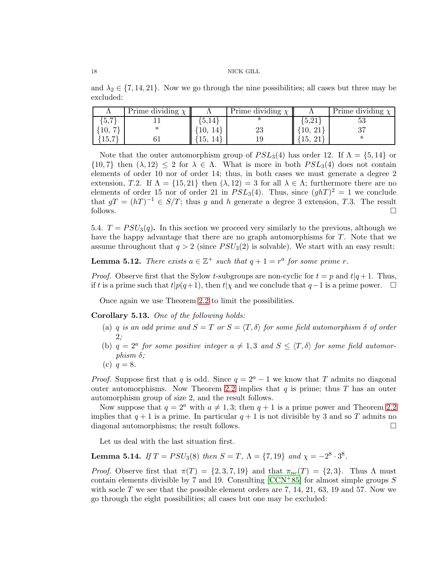and  $\lambda_2 \in \{7, 14, 21\}$ . Now we go through the nine possibilities; all cases but three may be excluded:

|                                                 | Prime dividing $\chi$ |      | Prime dividing $\chi$ | <b>A</b> | Prime dividing $\chi$ |
|-------------------------------------------------|-----------------------|------|-----------------------|----------|-----------------------|
| $\overline{ }$<br>$\mathcal{L}$ . $\mathcal{L}$ |                       | 5.14 |                       | 0.21     | ಀಀ                    |
| IV,                                             |                       |      | ∠J                    |          | $\Omega$              |
| 15.7                                            |                       | TЭ,  |                       | ιυ,      |                       |

Note that the outer automorphism group of  $PSL_3(4)$  has order 12. If  $\Lambda = \{5, 14\}$  or  $\{10, 7\}$  then  $(\lambda, 12) \leq 2$  for  $\lambda \in \Lambda$ . What is more in both  $PSL_3(4)$  does not contain elements of order 10 nor of order 14; thus, in both cases we must generate a degree 2 extension, T.2. If  $\Lambda = \{15, 21\}$  then  $(\lambda, 12) = 3$  for all  $\lambda \in \Lambda$ ; furthermore there are no elements of order 15 nor of order 21 in  $PSL_3(4)$ . Thus, since  $(ghT)^2 = 1$  we conclude that  $gT = (hT)^{-1} \in S/T$ ; thus g and h generate a degree 3 extension, T.3. The result follows.  $\Box$ 

5.4.  $T = PSU_3(q)$ . In this section we proceed very similarly to the previous, although we have the happy advantage that there are no graph automorphisms for T. Note that we assume throughout that  $q > 2$  (since  $PSU_3(2)$  is solvable). We start with an easy result:

**Lemma 5.12.** *There exists*  $a \in \mathbb{Z}^+$  *such that*  $q + 1 = r^a$  *for some prime r.* 

*Proof.* Observe first that the Sylow t-subgroups are non-cyclic for  $t = p$  and  $t|q+1$ . Thus, if t is a prime such that  $t|p(q+1)$ , then  $t|\chi$  and we conclude that  $q-1$  is a prime power.  $\Box$ 

Once again we use Theorem [2.2](#page-3-1) to limit the possibilities.

<span id="page-17-0"></span>Corollary 5.13. *One of the following holds:*

- (a) q *is an odd prime and*  $S = T$  *or*  $S = \langle T, \delta \rangle$  *for some field automorphism*  $\delta$  *of order* 2*;*
- (b)  $q = 2^a$  *for some positive integer*  $a \neq 1, 3$  *and*  $S \leq \langle T, \delta \rangle$  *for some field automorphism* δ*;*
- (c)  $q = 8$ .

*Proof.* Suppose first that q is odd. Since  $q = 2^a - 1$  we know that T admits no diagonal outer automorphisms. Now Theorem [2.2](#page-3-1) implies that q is prime; thus  $T$  has an outer automorphism group of size 2, and the result follows.

Now suppose that  $q = 2^a$  with  $a \neq 1, 3$ ; then  $q + 1$  is a prime power and Theorem [2.2](#page-3-1) implies that  $q + 1$  is a prime. In particular  $q + 1$  is not divisible by 3 and so T admits no diagonal automorphisms; the result follows.

Let us deal with the last situation first.

**Lemma 5.14.** *If*  $T = PSU_3(8)$  *then*  $S = T$ ,  $\Lambda = \{7, 19\}$  *and*  $\chi = -2^8 \cdot 3^8$ *.* 

*Proof.* Observe first that  $\pi(T) = \{2, 3, 7, 19\}$  and that  $\pi_{nc}(T) = \{2, 3\}$ . Thus  $\Lambda$  must contain elements divisible by 7 and 19. Consulting  $[CCN+85]$  for almost simple groups S with socle T we see that the possible element orders are  $7, 14, 21, 63, 19$  and  $57$ . Now we go through the eight possibilities; all cases but one may be excluded: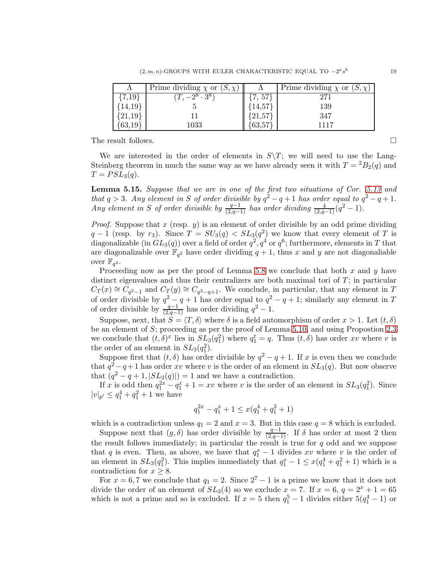|            | Prime dividing $\chi$ or $(S, \chi)$ |             | Prime dividing $\chi$ or $(S, \chi)$ |
|------------|--------------------------------------|-------------|--------------------------------------|
| $\{7,19\}$ | $-2^{8} \cdot 3^{8}$                 | $\{7, 57\}$ | 27                                   |
| ${14,19}$  |                                      | 14,57       | 139                                  |
| ${21,19}$  |                                      | 21,57       | 347                                  |
| ${63,19}$  | $1033\,$                             | 63,57       | 1117                                 |

The result follows.  $\Box$ 

We are interested in the order of elements in  $S\Y$ ; we will need to use the Lang-Steinberg theorem in much the same way as we have already seen it with  $T = {}^2B_2(q)$  and  $T = PSL<sub>3</sub>(q)$ .

<span id="page-18-0"></span>Lemma 5.15. *Suppose that we are in one of the first two situations of Cor. [5.13](#page-17-0) and that*  $q > 3$ *. Any element in* S *of order divisible by*  $q^2 - q + 1$  *has order equal to*  $q^2 - q + 1$ *. Any element in* S of order divisible by  $\frac{q-1}{(2,q-1)}$  has order dividing  $\frac{4}{(2,q-1)}(q^2-1)$ .

*Proof.* Suppose that  $x$  (resp.  $y$ ) is an element of order divisible by an odd prime dividing  $q-1$  (resp. by r<sub>3</sub>). Since  $T = SU_3(q) < SL_3(q^2)$  we know that every element of T is diagonalizable (in  $GL_3(q)$ ) over a field of order  $q^2, q^4$  or  $q^6$ ; furthermore, elements in  $T$  that are diagonalizable over  $\mathbb{F}_{q^2}$  have order dividing  $q+1$ , thus x and y are not diagonaliable over  $\mathbb{F}_{q^2}$ .

Proceeding now as per the proof of Lemma [5.8](#page-12-0) we conclude that both x and y have distinct eigenvalues and thus their centralizers are both maximal tori of  $T$ ; in particular  $C_T(x) \cong C_{q^2-1}$  and  $C_T(y) \cong C_{q^2-q+1}$ . We conclude, in particular, that any element in T of order divisible by  $q^2 - q + 1$  has order equal to  $q^2 - q + 1$ ; similarly any element in T of order divisible by  $\frac{q-1}{(2,q-1)}$  has order dividing  $q^2-1$ .

Suppose, next, that  $S = \langle T, \delta \rangle$  where  $\delta$  is a field automorphism of order  $x > 1$ . Let  $(t, \delta)$ be an element of  $S$ ; proceeding as per the proof of Lemma [5.10,](#page-15-0) and using Propostion [2.3](#page-3-2) we conclude that  $(t, \delta)^x$  lies in  $SL_3(q_1^2)$  where  $q_1^t = q$ . Thus  $(t, \delta)$  has order xv where v is the order of an element in  $SL_3(q_1^2)$ .

Suppose first that  $(t, \delta)$  has order divisible by  $q^2 - q + 1$ . If x is even then we conclude that  $q^2 - q + 1$  has order xv where v is the order of an element in  $SL_3(q)$ . But now observe that  $(q^2 - q + 1, |SL_3(q)|) = 1$  and we have a contradiction.

If x is odd then  $q_1^{2x} - q_1^x + 1 = xv$  where v is the order of an element in  $SL_3(q_1^2)$ . Since  $|v|_{p'} \leq q_1^4 + q_1^2 + 1$  we have

$$
q_1^{2x} - q_1^x + 1 \le x(q_1^4 + q_1^2 + 1)
$$

which is a contradiction unless  $q_1 = 2$  and  $x = 3$ . But in this case  $q = 8$  which is excluded.

Suppose next that  $(g, \delta)$  has order divisible by  $\frac{q-1}{(2q-1)}$ . If  $\delta$  has order at most 2 then the result follows immediately; in particular the result is true for  $q$  odd and we suppose that q is even. Then, as above, we have that  $q_1^x - 1$  divides xv where v is the order of an element in  $SL_3(q_1^2)$ . This implies immediately that  $q_1^x - 1 \le x(q_1^4 + q_1^2 + 1)$  which is a contradiction for  $x \geq 8$ .

For  $x = 6, 7$  we conclude that  $q_1 = 2$ . Since  $2^7 - 1$  is a prime we know that it does not divide the order of an element of  $SL_3(4)$  so we exclude  $x = 7$ . If  $x = 6$ ,  $q = 2^x + 1 = 65$ which is not a prime and so is excluded. If  $x = 5$  then  $q_1^5 - 1$  divides either  $5(q_1^4 - 1)$  or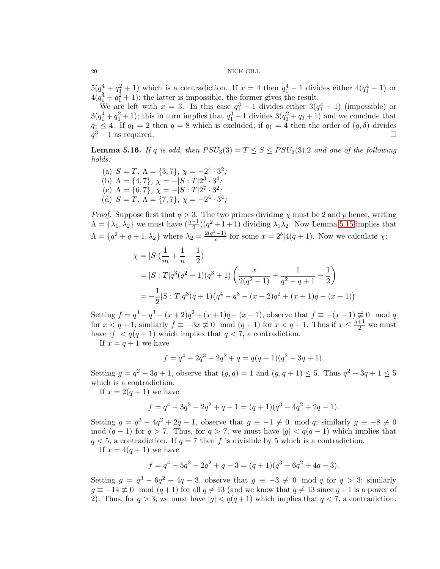$5(q_1^4+q_1^2+1)$  which is a contradiction. If  $x=4$  then  $q_1^4-1$  divides either  $4(q_1^4-1)$  or  $4(q_1^4+q_1^2+1)$ ; the latter is impossible, the former gives the result.

We are left with  $x = 3$ . In this case  $q_1^3 - 1$  divides either  $3(q_1^4 - 1)$  (impossible) or  $3(q_1^4+q_1^2+1)$ ; this in turn implies that  $q_1^3-1$  divides  $3(q_1^2+q_1+1)$  and we conclude that  $q_1 \leq 4$ . If  $q_1 = 2$  then  $q = 8$  which is excluded; if  $q_1 = 4$  then the order of  $(g, \delta)$  divides  $q_1^3 - 1$  as required.  $q_1^3 - 1$  as required.

**Lemma 5.16.** *If* q *is odd, then*  $PSU_3(3) = T \leq S \leq PSU_3(3).2$  *and one of the following holds:*

(a)  $S = T$ ,  $\Lambda = \{3, 7\}$ ,  $\chi = -2^4 \cdot 3^2$ ; (b)  $\Lambda = \{4, 7\}, \ \chi = -|S : T|2^3 \cdot 3^4,$ (c)  $\Lambda = \{6, 7\}, \chi = -|S:T|2^7 \cdot 3^2;$ (d)  $S = T$ ,  $\Lambda = \{7, 7\}$ ,  $\chi = -2^4 \cdot 3^4$ ;

*Proof.* Suppose first that  $q > 3$ . The two primes dividing  $\chi$  must be 2 and p hence, writing  $\Lambda = {\lambda_1, \lambda_2}$  we must have  $\left(\frac{q-1}{2}\right)(q^2 + 1 + 1)$  dividing  $\lambda_1 \lambda_2$ . Now Lemma [5.15](#page-18-0) implies that  $\Lambda = \{q^2 + q + 1, \lambda_2\}$  where  $\lambda_2 = \frac{2(q^2-1)}{x}$  for some  $x = 2^b | 4(q+1)$ . Now we calculate  $\chi$ :

$$
\chi = |S|(\frac{1}{m} + \frac{1}{n} - \frac{1}{2})
$$
  
=  $|S: T|q^3(q^2 - 1)(q^3 + 1)(\frac{x}{2(q^2 - 1)} + \frac{1}{q^2 - q + 1} - \frac{1}{2})$   
=  $-\frac{1}{2}|S: T|q^3(q + 1)(q^4 - q^3 - (x + 2)q^2 + (x + 1)q - (x - 1))$ 

Setting  $f = q^4 - q^3 - (x+2)q^2 + (x+1)q - (x-1)$ , observe that  $f \equiv -(x-1) \not\equiv 0 \mod q$ for  $x < q + 1$ ; similarly  $f \equiv -3x \not\equiv 0 \mod (q+1)$  for  $x < q + 1$ . Thus if  $x \leq \frac{q+1}{2}$  we must have  $|f| < q(q+1)$  which implies that  $q < 7$ , a contradiction.

If  $x = q + 1$  we have

$$
f = q4 - 2q3 - 2q2 + q = q(q + 1)(q2 - 3q + 1).
$$

Setting  $g = q^2 - 3q + 1$ , observe that  $(g, q) = 1$  and  $(g, q + 1) \le 5$ . Thus  $q^2 - 3q + 1 \le 5$ which is a contradiction.

If  $x = 2(q + 1)$  we have

$$
f = q4 - 3q3 - 2q2 + q - 1 = (q + 1)(q3 - 4q2 + 2q - 1).
$$

Setting  $g = q^3 - 4q^2 + 2q - 1$ , observe that  $g \equiv -1 \not\equiv 0 \mod q$ ; similarly  $g \equiv -8 \not\equiv 0$ mod  $(q-1)$  for  $q > 7$ . Thus, for  $q > 7$ , we must have  $|q| < q(q-1)$  which implies that  $q < 5$ , a contradiction. If  $q = 7$  then f is divisible by 5 which is a contradiction. If  $x = 4(q + 1)$  we have

$$
f = q4 - 5q3 - 2q2 + q - 3 = (q + 1)(q3 - 6q2 + 4q - 3).
$$

Setting  $g = q^3 - 6q^2 + 4q - 3$ , observe that  $g \equiv -3 \not\equiv 0 \mod q$  for  $q > 3$ ; similarly  $g \equiv -14 \not\equiv 0 \mod (q+1)$  for all  $q \neq 13$  (and we know that  $q \neq 13$  since  $q+1$  is a power of 2). Thus, for  $q > 3$ , we must have  $|g| < q(q+1)$  which implies that  $q < 7$ , a contradiction.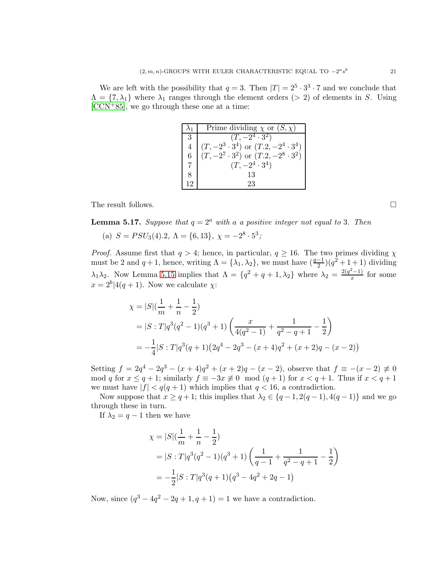We are left with the possibility that  $q = 3$ . Then  $|T| = 2^5 \cdot 3^3 \cdot 7$  and we conclude that  $\Lambda = \{7, \lambda_1\}$  where  $\lambda_1$  ranges through the element orders (> 2) of elements in S. Using [\[CCN](#page-26-0)+85], we go through these one at a time:

|                 | Prime dividing $\chi$ or $(S, \chi)$             |
|-----------------|--------------------------------------------------|
| 3               | $(T, -2^4 \cdot 3^2)$                            |
|                 | $(T, -2^3 \cdot 3^4)$ or $(T.2, -2^4 \cdot 3^4)$ |
| $6\overline{6}$ | $(T, -2^7 \cdot 3^2)$ or $(T.2, -2^8 \cdot 3^2)$ |
|                 | $(T, -2^4 \cdot 3^4)$                            |
|                 | 13                                               |
| 12              | 23                                               |

The result follows.

**Lemma 5.17.** *Suppose that*  $q = 2^a$  *with* a *a positive integer not equal to* 3*. Then* 

(a) 
$$
S = PSU_3(4).2
$$
,  $\Lambda = \{6, 13\}$ ,  $\chi = -2^8 \cdot 5^3$ ;

*Proof.* Assume first that  $q > 4$ ; hence, in particular,  $q \ge 16$ . The two primes dividing  $\chi$ must be 2 and  $q + 1$ , hence, writing  $\Lambda = {\lambda_1, \lambda_2}$ , we must have  $(\frac{q-1}{2})(q^2 + 1 + 1)$  dividing  $\lambda_1\lambda_2$ . Now Lemma [5.15](#page-18-0) implies that  $\Lambda = \{q^2 + q + 1, \lambda_2\}$  where  $\lambda_2 = \frac{2(q^2-1)}{x}$  for some  $x = 2^b | 4(q+1)$ . Now we calculate  $\chi$ :

$$
\chi = |S|(\frac{1}{m} + \frac{1}{n} - \frac{1}{2})
$$
  
=  $|S : T|q^3(q^2 - 1)(q^3 + 1)(\frac{x}{4(q^2 - 1)} + \frac{1}{q^2 - q + 1} - \frac{1}{2})$   
=  $-\frac{1}{4}|S : T|q^3(q + 1)(2q^4 - 2q^3 - (x + 4)q^2 + (x + 2)q - (x - 2))$ 

Setting  $f = 2q^4 - 2q^3 - (x+4)q^2 + (x+2)q - (x-2)$ , observe that  $f \equiv -(x-2) \neq 0$ mod q for  $x \le q+1$ ; similarly  $f \equiv -3x \not\equiv 0 \mod (q+1)$  for  $x < q+1$ . Thus if  $x < q+1$ we must have  $|f| < q(q+1)$  which implies that  $q < 16$ , a contradiction.

Now suppose that  $x \ge q+1$ ; this implies that  $\lambda_2 \in \{q-1, 2(q-1), 4(q-1)\}\)$  and we go through these in turn.

If  $\lambda_2 = q - 1$  then we have

$$
\chi = |S|(\frac{1}{m} + \frac{1}{n} - \frac{1}{2})
$$
  
=  $|S : T|q^3(q^2 - 1)(q^3 + 1)(\frac{1}{q - 1} + \frac{1}{q^2 - q + 1} - \frac{1}{2})$   
=  $-\frac{1}{2}|S : T|q^3(q + 1)(q^3 - 4q^2 + 2q - 1)$ 

Now, since  $(q^3 - 4q^2 - 2q + 1, q + 1) = 1$  we have a contradiction.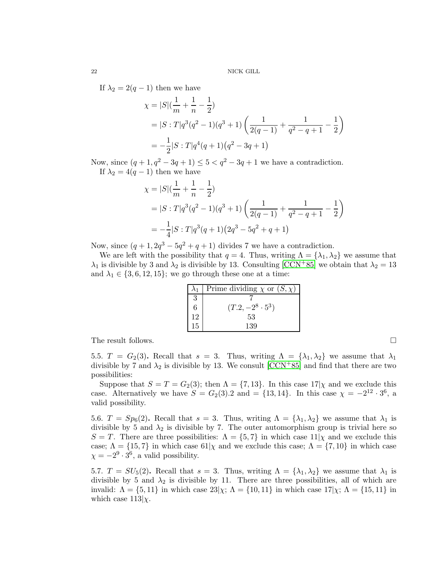If  $\lambda_2 = 2(q-1)$  then we have

$$
\chi = |S|(\frac{1}{m} + \frac{1}{n} - \frac{1}{2})
$$
  
=  $|S : T|q^3(q^2 - 1)(q^3 + 1)(\frac{1}{2(q - 1)} + \frac{1}{q^2 - q + 1} - \frac{1}{2})$   
=  $-\frac{1}{2}|S : T|q^4(q + 1)(q^2 - 3q + 1)$ 

Now, since  $(q + 1, q^2 - 3q + 1) \le 5 < q^2 - 3q + 1$  we have a contradiction. If  $\lambda_2 = 4(q-1)$  then we have

$$
\chi = |S|(\frac{1}{m} + \frac{1}{n} - \frac{1}{2})
$$
  
=  $|S : T|q^3(q^2 - 1)(q^3 + 1)(\frac{1}{2(q - 1)} + \frac{1}{q^2 - q + 1} - \frac{1}{2})$   
=  $-\frac{1}{4}|S : T|q^3(q + 1)(2q^3 - 5q^2 + q + 1)$ 

Now, since  $(q+1, 2q^3-5q^2+q+1)$  divides 7 we have a contradiction.

We are left with the possibility that  $q = 4$ . Thus, writing  $\Lambda = {\lambda_1, \lambda_2}$  we assume that  $\lambda_1$  is divisible by 3 and  $\lambda_2$  is divisible by 13. Consulting [\[CCN](#page-26-0)+85] we obtain that  $\lambda_2 = 13$ and  $\lambda_1 \in \{3, 6, 12, 15\}$ ; we go through these one at a time:

|    | Prime dividing $\chi$ or $(S, \chi)$ |
|----|--------------------------------------|
| 3  |                                      |
| 6  | $(T.2, -2^8 \cdot 5^3)$              |
| 12 | 53                                   |
| 15 | 139                                  |

The result follows.

5.5.  $T = G_2(3)$ . Recall that  $s = 3$ . Thus, writing  $\Lambda = {\lambda_1, \lambda_2}$  we assume that  $\lambda_1$ divisible by 7 and  $\lambda_2$  is divisible by 13. We consult [\[CCN](#page-26-0)+85] and find that there are two possibilities:

Suppose that  $S = T = G_2(3)$ ; then  $\Lambda = \{7, 13\}$ . In this case  $17|\chi$  and we exclude this case. Alternatively we have  $S = G_2(3) \cdot 2$  and  $= \{13, 14\}$ . In this case  $\chi = -2^{12} \cdot 3^6$ , a valid possibility.

5.6.  $T = Sp_6(2)$ . Recall that  $s = 3$ . Thus, writing  $\Lambda = {\lambda_1, \lambda_2}$  we assume that  $\lambda_1$  is divisible by 5 and  $\lambda_2$  is divisible by 7. The outer automorphism group is trivial here so  $S = T$ . There are three possibilities:  $\Lambda = \{5, 7\}$  in which case  $11|\chi$  and we exclude this case;  $\Lambda = \{15, 7\}$  in which case  $61|\chi$  and we exclude this case;  $\Lambda = \{7, 10\}$  in which case  $\chi = -2^9 \cdot 3^6$ , a valid possibility.

5.7.  $T = SU_5(2)$ . Recall that  $s = 3$ . Thus, writing  $\Lambda = {\lambda_1, \lambda_2}$  we assume that  $\lambda_1$  is divisible by 5 and  $\lambda_2$  is divisible by 11. There are three possibilities, all of which are invalid:  $\Lambda = \{5, 11\}$  in which case  $23|\chi; \Lambda = \{10, 11\}$  in which case  $17|\chi; \Lambda = \{15, 11\}$  in which case  $113|\chi$ .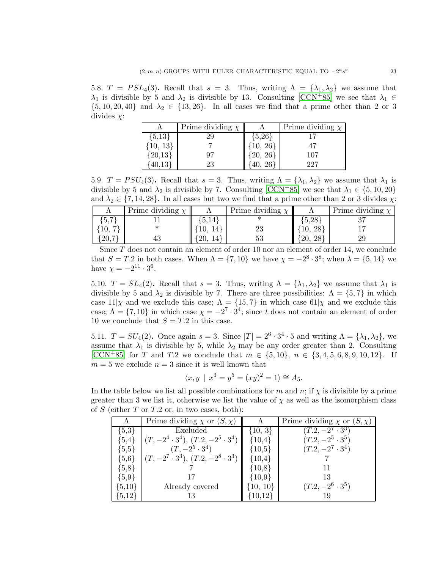5.8.  $T = PSL_4(3)$ . Recall that  $s = 3$ . Thus, writing  $\Lambda = {\lambda_1, \lambda_2}$  we assume that  $\lambda_1$  is divisible by 5 and  $\lambda_2$  is divisible by 13. Consulting [\[CCN](#page-26-0)+85] we see that  $\lambda_1 \in$  $\{5, 10, 20, 40\}$  and  $\lambda_2 \in \{13, 26\}$ . In all cases we find that a prime other than 2 or 3 divides  $\chi$ :

|            | Prime dividing $\chi$ |                                                | Prime dividing $\chi$ |
|------------|-----------------------|------------------------------------------------|-----------------------|
| ${5,13}$   | 29                    | ${5,26}$                                       |                       |
| ${10, 13}$ |                       |                                                |                       |
| ${20,13}$  | 97                    | $\begin{array}{c} 10, 26 \ 20, 26 \end{array}$ | 107                   |
|            | 23                    |                                                | 227                   |

5.9.  $T = PSU_4(3)$ . Recall that  $s = 3$ . Thus, writing  $\Lambda = {\lambda_1, \lambda_2}$  we assume that  $\lambda_1$  is divisible by 5 and  $\lambda_2$  is divisible by 7. Consulting [\[CCN](#page-26-0)+85] we see that  $\lambda_1 \in \{5, 10, 20\}$ and  $\lambda_2 \in \{7, 14, 28\}$ . In all cases but two we find that a prime other than 2 or 3 divides  $\chi$ :

|      | Prime dividing $\chi$ |           | Prime dividing $\chi$ |           | Prime dividing |
|------|-----------------------|-----------|-----------------------|-----------|----------------|
| 3.1  |                       | 5,14      |                       | 5,28      | െ              |
| ΙU,  |                       | 14        | 23                    | 28        |                |
| 20,7 |                       | 20,<br>14 | ບບ                    | 28<br>20, |                |

Since  $T$  does not contain an element of order 10 nor an element of order 14, we conclude that  $S = T.2$  in both cases. When  $\Lambda = \{7, 10\}$  we have  $\chi = -2^8 \cdot 3^8$ ; when  $\lambda = \{5, 14\}$  we have  $\chi = -2^{11} \cdot 3^6$ .

5.10.  $T = SL_4(2)$ . Recall that  $s = 3$ . Thus, writing  $\Lambda = {\lambda_1, \lambda_2}$  we assume that  $\lambda_1$  is divisible by 5 and  $\lambda_2$  is divisible by 7. There are three possibilities:  $\Lambda = \{5, 7\}$  in which case  $11|\chi$  and we exclude this case;  $\Lambda = \{15, 7\}$  in which case  $61|\chi$  and we exclude this case;  $\Lambda = \{7, 10\}$  in which case  $\chi = -2^7 \cdot 3^4$ ; since t does not contain an element of order 10 we conclude that  $S = T.2$  in this case.

5.11.  $T = SU_4(2)$ . Once again  $s = 3$ . Since  $|T| = 2^6 \cdot 3^4 \cdot 5$  and writing  $\Lambda = {\lambda_1, \lambda_2}$ , we assume that  $\lambda_1$  is divisible by 5, while  $\lambda_2$  may be any order greater than 2. Consulting [\[CCN](#page-26-0)<sup>+</sup>85] for T and T.2 we conclude that  $m \in \{5, 10\}$ ,  $n \in \{3, 4, 5, 6, 8, 9, 10, 12\}$ . If  $m = 5$  we exclude  $n = 3$  since it is well known that

$$
\langle x, y | x^3 = y^5 = (xy)^2 = 1 \rangle \cong A_5.
$$

In the table below we list all possible combinations for m and n; if  $\chi$  is divisible by a prime greater than 3 we list it, otherwise we list the value of  $\chi$  as well as the isomorphism class of S (either T or T.2 or, in two cases, both):

|            | Prime dividing $\chi$ or $(S, \chi)$         |              | Prime dividing $\chi$ or $(S, \chi)$ |
|------------|----------------------------------------------|--------------|--------------------------------------|
| ${5,3}$    | Excluded                                     | $\{10, 3\}$  | $(T.2, -2^7 \cdot 3^3)$              |
| ${5,4}$    | $(T, -2^4 \cdot 3^4), (T.2, -2^5 \cdot 3^4)$ | ${10,4}$     | $(T.2, -2^5 \cdot 3^5)$              |
| ${5,5}$    | $(T, -2^5 \cdot 3^4)$                        | ${10,5}$     | $(T.2, -2^7 \cdot 3^4)$              |
| ${5,6}$    | $(T, -2^7 \cdot 3^3), (T.2, -2^8 \cdot 3^3)$ | ${10,4}$     |                                      |
| ${5,8}$    |                                              | ${10,8}$     |                                      |
| ${5,9}$    |                                              | ${10,9}$     | 13                                   |
| $\{5,10\}$ | Already covered                              | $\{10, 10\}$ | $(T.2, -2^6 \cdot 3^5)$              |
| ${5,12}$   | 13                                           | ${10,12}$    | 19                                   |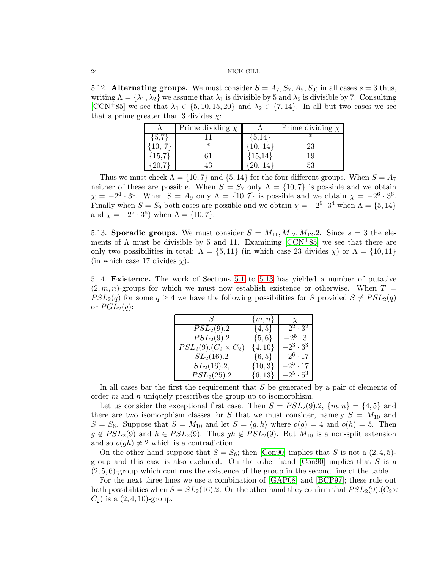5.12. Alternating groups. We must consider  $S = A_7, S_7, A_9, S_9$ ; in all cases  $s = 3$  thus, writing  $\Lambda = {\lambda_1, \lambda_2}$  we assume that  $\lambda_1$  is divisible by 5 and  $\lambda_2$  is divisible by 7. Consulting [\[CCN](#page-26-0)+85] we see that  $\lambda_1 \in \{5, 10, 15, 20\}$  and  $\lambda_2 \in \{7, 14\}$ . In all but two cases we see that a prime greater than 3 divides  $\chi$ :

|         | Prime dividing $\chi$ |                    | Prime dividing $\chi$ |
|---------|-----------------------|--------------------|-----------------------|
| ${5,7}$ |                       | $\{5, 14\}$        |                       |
|         | $^\ast$               |                    | 23                    |
| (15,7)  | 61                    | $\frac{10}{15,14}$ | 19                    |
|         | 43                    |                    | 53                    |

Thus we must check  $\Lambda = \{10, 7\}$  and  $\{5, 14\}$  for the four different groups. When  $S = A_7$ neither of these are possible. When  $S = S_7$  only  $\Lambda = \{10, 7\}$  is possible and we obtain  $\chi = -2^4 \cdot 3^4$ . When  $S = A_9$  only  $\Lambda = \{10, 7\}$  is possible and we obtain  $\chi = -2^6 \cdot 3^6$ . Finally when  $S = S_9$  both cases are possible and we obtain  $\chi = -2^9 \cdot 3^4$  when  $\Lambda = \{5, 14\}$ and  $\chi = -2^7 \cdot 3^6$ ) when  $\Lambda = \{10, 7\}$ .

<span id="page-23-1"></span>5.13. Sporadic groups. We must consider  $S = M_{11}, M_{12}, M_{12}.$  Since  $s = 3$  the elements of  $\Lambda$  must be divisible by 5 and 11. Examining [\[CCN](#page-26-0)+85] we see that there are only two possibilities in total:  $\Lambda = \{5, 11\}$  (in which case 23 divides  $\chi$ ) or  $\Lambda = \{10, 11\}$ (in which case 17 divides  $\chi$ ).

<span id="page-23-0"></span>5.14. Existence. The work of Sections [5.1](#page-7-1) to [5.13](#page-23-1) has yielded a number of putative  $(2, m, n)$ -groups for which we must now establish existence or otherwise. When  $T =$  $PSL_2(q)$  for some  $q \geq 4$  we have the following possibilities for S provided  $S \neq PSL_2(q)$ or  $PGL<sub>2</sub>(q)$ :

| $S_{-}$                         | $\{m,n\}$   | $\boldsymbol{X}$ |
|---------------------------------|-------------|------------------|
| $PSL_2(9).2$                    | $\{4, 5\}$  | $-2^2 \cdot 3^2$ |
| $PSL_2(9).2$                    | $\{5,6\}$   | $-2^5 \cdot 3$   |
| $PSL_2(9)$ . $(C_2 \times C_2)$ | $\{4, 10\}$ | $-2^3\cdot 3^3$  |
| $SL_2(16).2$                    | $\{6, 5\}$  | $-2^6\cdot 17$   |
| $SL_2(16).2,$                   | $\{10,3\}$  | $-2^5 \cdot 17$  |
| $PSL_2(25).2$                   | $\{6, 13\}$ | $-2^5\cdot 5^3$  |

In all cases bar the first the requirement that  $S$  be generated by a pair of elements of order  $m$  and  $n$  uniquely prescribes the group up to isomorphism.

Let us consider the exceptional first case. Then  $S = PSL<sub>2</sub>(9).2, \{m, n\} = \{4, 5\}$  and there are two isomorphism classes for S that we must consider, namely  $S = M_{10}$  and  $S = S_6$ . Suppose that  $S = M_{10}$  and let  $S = \langle g, h \rangle$  where  $o(g) = 4$  and  $o(h) = 5$ . Then  $g \notin PSL_2(9)$  and  $h \in PSL_2(9)$ . Thus  $gh \notin PSL_2(9)$ . But  $M_{10}$  is a non-split extension and so  $o(gh) \neq 2$  which is a contradiction.

On the other hand suppose that  $S = S_6$ ; then [\[Con90\]](#page-26-3) implies that S is not a  $(2, 4, 5)$ group and this case is also excluded. On the other hand  $[Con90]$  implies that S is a  $(2, 5, 6)$ -group which confirms the existence of the group in the second line of the table.

For the next three lines we use a combination of [\[GAP08\]](#page-27-10) and [\[BCP97\]](#page-26-4); these rule out both possibilities when  $S = SL_2(16)$ . On the other hand they confirm that  $PSL_2(9)$ .  $(C_2 \times C_1^2)$  $C_2$ ) is a  $(2, 4, 10)$ -group.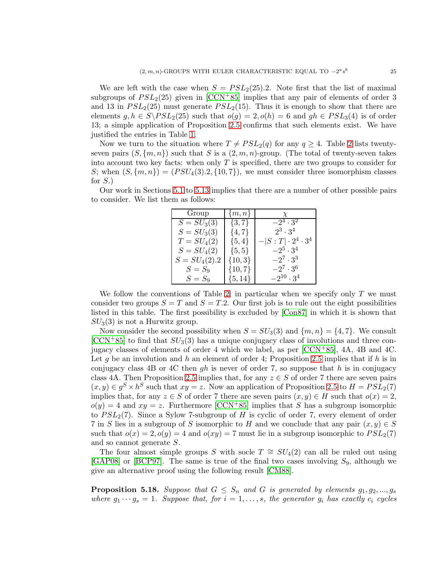We are left with the case when  $S = PSL<sub>2</sub>(25)$ . Note first that the list of maximal subgroups of  $PSL_2(25)$  given in  $[CCN+85]$  implies that any pair of elements of order 3 and 13 in  $PSL<sub>2</sub>(25)$  must generate  $PSL<sub>2</sub>(15)$ . Thus it is enough to show that there are elements  $g, h \in S \backslash PSL_2(25)$  such that  $o(g) = 2, o(h) = 6$  and  $gh \in PSL_3(4)$  is of order 13; a simple application of Proposition [2.5](#page-4-5) confirms that such elements exist. We have justified the entries in Table [1.](#page-1-0)

Now we turn to the situation where  $T \neq PSL_2(q)$  for any  $q \geq 4$ . Table [2](#page-1-1) lists twentyseven pairs  $(S, \{m, n\})$  such that S is a  $(2, m, n)$ -group. (The total of twenty-seven takes into account two key facts: when only  $T$  is specified, there are two groups to consider for S; when  $(S, \{m, n\}) = (PSU_4(3), 2, \{10, 7\})$ , we must consider three isomorphism classes for  $S$ .)

Our work in Sections [5.1](#page-7-1) to [5.13](#page-23-1) implies that there are a number of other possible pairs to consider. We list them as follows:

| Group           | $\{m,n\}$   | $\chi$                     |
|-----------------|-------------|----------------------------|
| $S = SU_3(3)$   | $\{3, 7\}$  | $-2^4 \cdot 3^2$           |
| $S = SU_3(3)$   | $\{4, 7\}$  | $2^3 \cdot 3^4$            |
| $T = SU4(2)$    | $\{5,4\}$   | $- S:T \cdot 2^4\cdot 3^4$ |
| $S = SU_4(2)$   | $\{5, 5\}$  | $-2^5 \cdot 3^4$           |
| $S = SU_4(2).2$ | $\{10,3\}$  | $-2^7 \cdot 3^3$           |
| $S = S_9$       | $\{10, 7\}$ | $-2^7 \cdot 3^6$           |
| $S = S_9$       | $\{5,14\}$  | $-2^{10} \cdot 3^4$        |

We follow the conventions of Table [2;](#page-1-1) in particular when we specify only  $T$  we must consider two groups  $S = T$  and  $S = T.2$ . Our first job is to rule out the eight possibilities listed in this table. The first possibility is excluded by [\[Con87\]](#page-26-5) in which it is shown that  $SU<sub>3</sub>(3)$  is not a Hurwitz group.

Now consider the second possibility when  $S = SU_3(3)$  and  $\{m, n\} = \{4, 7\}$ . We consult  $[CCN+85]$  $[CCN+85]$  to find that  $SU<sub>3</sub>(3)$  has a unique conjugacy class of involutions and three conjugacy classes of elements of order 4 which we label, as per [\[CCN](#page-26-0)+85], 4A, 4B and 4C. Let g be an involution and h an element of order 4; Proposition [2.5](#page-4-5) implies that if h is in conjugacy class 4B or 4C then  $gh$  is never of order 7, so suppose that h is in conjugacy class 4A. Then Proposition [2.5](#page-4-5) implies that, for any  $z \in S$  of order 7 there are seven pairs  $(x, y) \in g^S \times h^S$  such that  $xy = z$ . Now an application of Proposition [2.5](#page-4-5) to  $H = PSL_2(7)$ implies that, for any  $z \in S$  of order 7 there are seven pairs  $(x, y) \in H$  such that  $o(x) = 2$ ,  $o(y) = 4$  and  $xy = z$ . Furthermore [\[CCN](#page-26-0)+85] implies that S has a subgroup isomorphic to  $PSL_2(7)$ . Since a Sylow 7-subgroup of H is cyclic of order 7, every element of order 7 in S lies in a subgroup of S isomorphic to H and we conclude that any pair  $(x, y) \in S$ such that  $o(x) = 2$ ,  $o(y) = 4$  and  $o(xy) = 7$  must lie in a subgroup isomorphic to  $PSL<sub>2</sub>(7)$ and so cannot generate S.

The four almost simple groups S with socle  $T \cong SU_4(2)$  can all be ruled out using [\[GAP08\]](#page-27-10) or [\[BCP97\]](#page-26-4). The same is true of the final two cases involving  $S_9$ , although we give an alternative proof using the following result [\[CM88\]](#page-26-6).

**Proposition 5.18.** Suppose that  $G \leq S_n$  and G is generated by elements  $g_1, g_2, ..., g_s$ *where*  $g_1 \cdots g_s = 1$ *. Suppose that, for*  $i = 1, \ldots, s$ *, the generator*  $g_i$  *has exactly*  $c_i$  *cycles*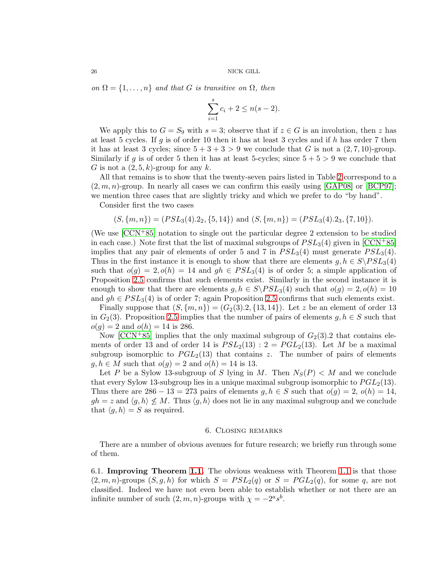*on*  $\Omega = \{1, \ldots, n\}$  *and that* G *is transitive on*  $\Omega$ *, then* 

$$
\sum_{i=1}^{s} c_i + 2 \le n(s - 2).
$$

We apply this to  $G = S_9$  with  $s = 3$ ; observe that if  $z \in G$  is an involution, then z has at least 5 cycles. If  $g$  is of order 10 then it has at least 3 cycles and if  $h$  has order 7 then it has at least 3 cycles; since  $5+3+3>9$  we conclude that G is not a  $(2,7,10)$ -group. Similarly if g is of order 5 then it has at least 5-cycles; since  $5 + 5 > 9$  we conclude that G is not a  $(2, 5, k)$ -group for any k.

All that remains is to show that the twenty-seven pairs listed in Table [2](#page-1-1) correspond to a  $(2, m, n)$ -group. In nearly all cases we can confirm this easily using [\[GAP08\]](#page-27-10) or [\[BCP97\]](#page-26-4); we mention three cases that are slightly tricky and which we prefer to do "by hand".

Consider first the two cases

$$
(S, \{m, n\}) = (PSL_3(4).2_2, \{5, 14\})
$$
 and  $(S, \{m, n\}) = (PSL_3(4).2_3, \{7, 10\}).$ 

(We use [\[CCN](#page-26-0)+85] notation to single out the particular degree 2 extension to be studied in each case.) Note first that the list of maximal subgroups of  $PSL<sub>3</sub>(4)$  given in  $[CCN+85]$ implies that any pair of elements of order 5 and 7 in  $PSL<sub>3</sub>(4)$  must generate  $PSL<sub>3</sub>(4)$ . Thus in the first instance it is enough to show that there are elements  $g, h \in S \backslash PSL_3(4)$ such that  $o(g) = 2, o(h) = 14$  and  $gh \in PSL<sub>3</sub>(4)$  is of order 5; a simple application of Proposition [2.5](#page-4-5) confirms that such elements exist. Similarly in the second instance it is enough to show that there are elements  $g, h \in S\backslash PSL_3(4)$  such that  $o(g) = 2, o(h) = 10$ and  $gh \in PSL<sub>3</sub>(4)$  is of order 7; again Proposition [2.5](#page-4-5) confirms that such elements exist.

Finally suppose that  $(S, \{m, n\}) = (G_2(3), 2, \{13, 14\})$ . Let z be an element of order 13 in  $G_2(3)$ . Proposition [2.5](#page-4-5) implies that the number of pairs of elements  $g, h \in S$  such that  $o(q) = 2$  and  $o(h) = 14$  is 286.

Now [\[CCN](#page-26-0)+85] implies that the only maximal subgroup of  $G_2(3)$ . 2 that contains elements of order 13 and of order 14 is  $PSL_2(13): 2 = PGL_2(13)$ . Let M be a maximal subgroup isomorphic to  $PGL<sub>2</sub>(13)$  that contains z. The number of pairs of elements  $g, h \in M$  such that  $o(g) = 2$  and  $o(h) = 14$  is 13.

Let P be a Sylow 13-subgroup of S lying in M. Then  $N_S(P) < M$  and we conclude that every Sylow 13-subgroup lies in a unique maximal subgroup isomorphic to  $PGL<sub>2</sub>(13)$ . Thus there are 286 − 13 = 273 pairs of elements  $g, h \in S$  such that  $o(g) = 2$ ,  $o(h) = 14$ ,  $gh = z$  and  $\langle g, h \rangle \nleq M$ . Thus  $\langle g, h \rangle$  does not lie in any maximal subgroup and we conclude that  $\langle g, h \rangle = S$  as required.

# 6. Closing remarks

<span id="page-25-0"></span>There are a number of obvious avenues for future research; we briefly run through some of them.

6.1. Improving Theorem [1.1.](#page-0-0) The obvious weakness with Theorem [1.1](#page-0-0) is that those  $(2, m, n)$ -groups  $(S, g, h)$  for which  $S = PSL<sub>2</sub>(q)$  or  $S = PGL<sub>2</sub>(q)$ , for some q, are not classified. Indeed we have not even been able to establish whether or not there are an infinite number of such  $(2, m, n)$ -groups with  $\chi = -2^a s^b$ .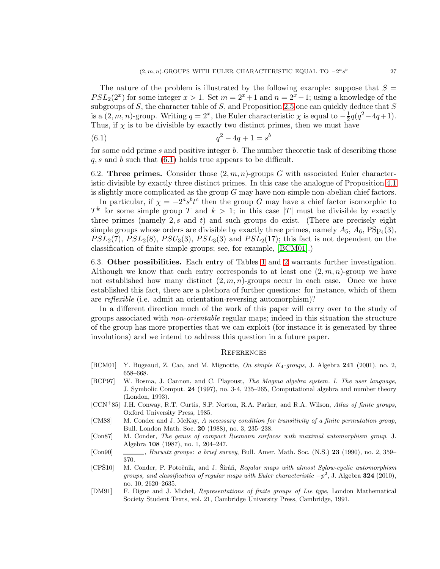The nature of the problem is illustrated by the following example: suppose that  $S =$  $PSL_2(2^x)$  for some integer  $x > 1$ . Set  $m = 2^x + 1$  and  $n = 2^x - 1$ ; using a knowledge of the subgroups of  $S$ , the character table of  $S$ , and Proposition [2.5](#page-4-5) one can quickly deduce that  $S$ is a  $(2, m, n)$ -group. Writing  $q = 2^x$ , the Euler characteristic  $\chi$  is equal to  $-\frac{1}{2}$  $\frac{1}{2}q(q^2-4q+1).$ Thus, if  $\chi$  is to be divisible by exactly two distinct primes, then we must have

<span id="page-26-7"></span>(6.1) 
$$
q^2 - 4q + 1 = s^b
$$

for some odd prime s and positive integer b. The number theoretic task of describing those  $q, s$  and b such that  $(6.1)$  holds true appears to be difficult.

6.2. Three primes. Consider those  $(2, m, n)$ -groups G with associated Euler characteristic divisible by exactly three distinct primes. In this case the analogue of Proposition [4.1](#page-5-2) is slightly more complicated as the group  $G$  may have non-simple non-abelian chief factors.

In particular, if  $\chi = -2^a s^b t^c$  then the group G may have a chief factor isomorphic to  $T^k$  for some simple group T and  $k > 1$ ; in this case |T| must be divisible by exactly three primes (namely 2,  $s$  and  $t$ ) and such groups do exist. (There are precisely eight simple groups whose orders are divisible by exactly three primes, namely  $A_5$ ,  $A_6$ ,  $PSp_4(3)$ ,  $PSL_2(7)$ ,  $PSL_2(8)$ ,  $PSU_3(3)$ ,  $PSL_3(3)$  and  $PSL_2(17)$ ; this fact is not dependent on the classification of finite simple groups; see, for example, [\[BCM01\]](#page-26-8).)

6.3. Other possibilities. Each entry of Tables [1](#page-1-0) and [2](#page-1-1) warrants further investigation. Although we know that each entry corresponds to at least one  $(2, m, n)$ -group we have not established how many distinct  $(2, m, n)$ -groups occur in each case. Once we have established this fact, there are a plethora of further questions: for instance, which of them are *reflexible* (i.e. admit an orientation-reversing automorphism)?

In a different direction much of the work of this paper will carry over to the study of groups associated with *non-orientable* regular maps; indeed in this situation the structure of the group has more properties that we can exploit (for instance it is generated by three involutions) and we intend to address this question in a future paper.

# **REFERENCES**

- <span id="page-26-8"></span>[BCM01] Y. Bugeaud, Z. Cao, and M. Mignotte, *On simple* K4*-groups*, J. Algebra 241 (2001), no. 2, 658–668.
- <span id="page-26-4"></span>[BCP97] W. Bosma, J. Cannon, and C. Playoust, *The Magma algebra system. I. The user language*, J. Symbolic Comput. 24 (1997), no. 3-4, 235–265, Computational algebra and number theory (London, 1993).
- <span id="page-26-0"></span>[CCN<sup>+</sup>85] J.H. Conway, R.T. Curtis, S.P. Norton, R.A. Parker, and R.A. Wilson, *Atlas of finite groups*, Oxford University Press, 1985.
- <span id="page-26-6"></span>[CM88] M. Conder and J. McKay, *A necessary condition for transitivity of a finite permutation group*, Bull. London Math. Soc. 20 (1988), no. 3, 235–238.
- <span id="page-26-5"></span>[Con87] M. Conder, *The genus of compact Riemann surfaces with maximal automorphism group*, J. Algebra 108 (1987), no. 1, 204–247.
- <span id="page-26-3"></span>[Con90] , *Hurwitz groups: a brief survey*, Bull. Amer. Math. Soc. (N.S.) 23 (1990), no. 2, 359– 370.
- <span id="page-26-2"></span>[CPS<sup>10]</sup> M. Conder, P. Potočnik, and J. Širáň, *Regular maps with almost Sylow-cyclic automorphism groups, and classification of regular maps with Euler characteristic*  $-p^2$ , J. Algebra 324 (2010), no. 10, 2620–2635.
- <span id="page-26-1"></span>[DM91] F. Digne and J. Michel, *Representations of finite groups of Lie type*, London Mathematical Society Student Texts, vol. 21, Cambridge University Press, Cambridge, 1991.